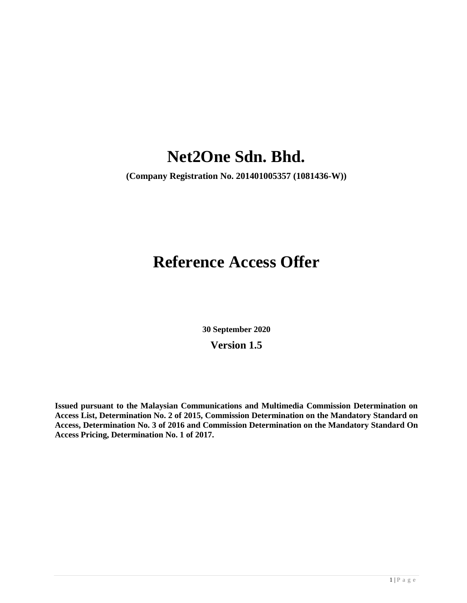# **Net2One Sdn. Bhd.**

**(Company Registration No. 201401005357 (1081436-W))**

# **Reference Access Offer**

**30 September 2020 Version 1.5**

**Issued pursuant to the Malaysian Communications and Multimedia Commission Determination on Access List, Determination No. 2 of 2015, Commission Determination on the Mandatory Standard on Access, Determination No. 3 of 2016 and Commission Determination on the Mandatory Standard On Access Pricing, Determination No. 1 of 2017.**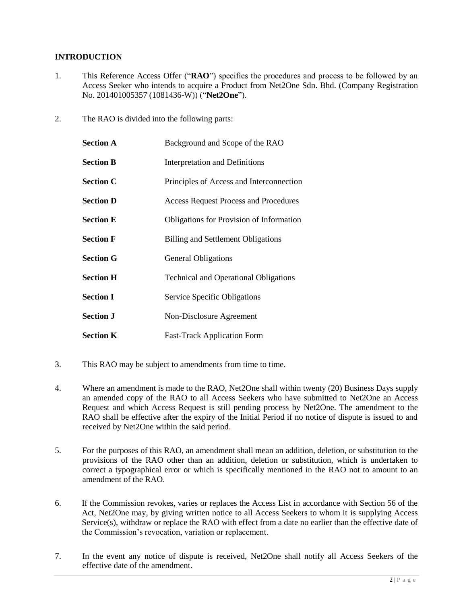# **INTRODUCTION**

- 1. This Reference Access Offer ("**RAO**") specifies the procedures and process to be followed by an Access Seeker who intends to acquire a Product from Net2One Sdn. Bhd. (Company Registration No. 201401005357 (1081436-W)) ("**Net2One**").
- 2. The RAO is divided into the following parts:

| <b>Section A</b> | Background and Scope of the RAO              |
|------------------|----------------------------------------------|
| <b>Section B</b> | <b>Interpretation and Definitions</b>        |
| <b>Section C</b> | Principles of Access and Interconnection     |
| <b>Section D</b> | <b>Access Request Process and Procedures</b> |
| <b>Section E</b> | Obligations for Provision of Information     |
| <b>Section F</b> | <b>Billing and Settlement Obligations</b>    |
| <b>Section G</b> | <b>General Obligations</b>                   |
| <b>Section H</b> | <b>Technical and Operational Obligations</b> |
| <b>Section I</b> | <b>Service Specific Obligations</b>          |
| <b>Section J</b> | Non-Disclosure Agreement                     |
| <b>Section K</b> | <b>Fast-Track Application Form</b>           |

- 3. This RAO may be subject to amendments from time to time.
- 4. Where an amendment is made to the RAO, Net2One shall within twenty (20) Business Days supply an amended copy of the RAO to all Access Seekers who have submitted to Net2One an Access Request and which Access Request is still pending process by Net2One. The amendment to the RAO shall be effective after the expiry of the Initial Period if no notice of dispute is issued to and received by Net2One within the said period.
- 5. For the purposes of this RAO, an amendment shall mean an addition, deletion, or substitution to the provisions of the RAO other than an addition, deletion or substitution, which is undertaken to correct a typographical error or which is specifically mentioned in the RAO not to amount to an amendment of the RAO.
- 6. If the Commission revokes, varies or replaces the Access List in accordance with Section 56 of the Act, Net2One may, by giving written notice to all Access Seekers to whom it is supplying Access Service(s), withdraw or replace the RAO with effect from a date no earlier than the effective date of the Commission's revocation, variation or replacement.
- 7. In the event any notice of dispute is received, Net2One shall notify all Access Seekers of the effective date of the amendment.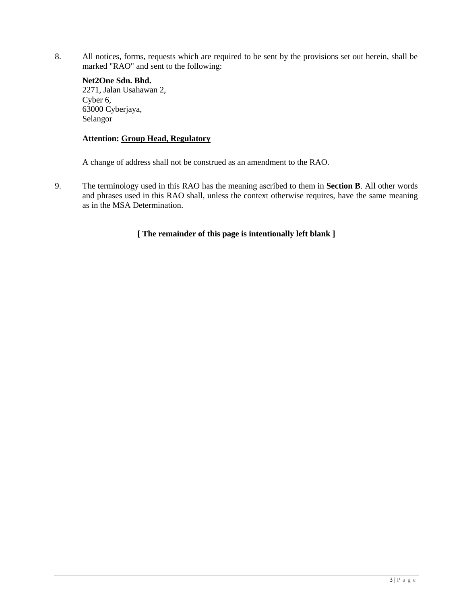8. All notices, forms, requests which are required to be sent by the provisions set out herein, shall be marked "RAO" and sent to the following:

# **Net2One Sdn. Bhd.**

2271, Jalan Usahawan 2, Cyber 6, 63000 Cyberjaya, Selangor

# **Attention: Group Head, Regulatory**

A change of address shall not be construed as an amendment to the RAO.

9. The terminology used in this RAO has the meaning ascribed to them in **Section B**. All other words and phrases used in this RAO shall, unless the context otherwise requires, have the same meaning as in the MSA Determination.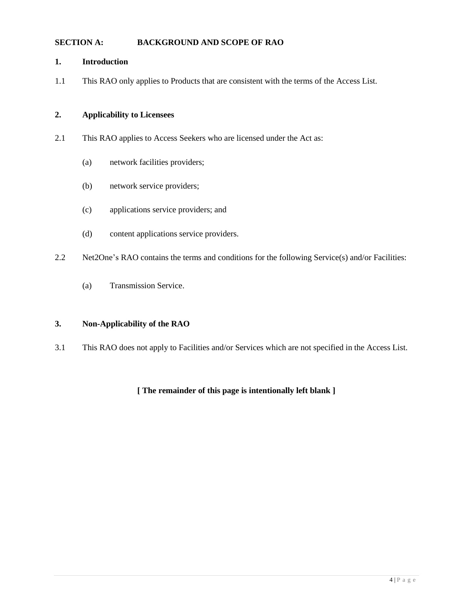## **SECTION A: BACKGROUND AND SCOPE OF RAO**

#### **1. Introduction**

1.1 This RAO only applies to Products that are consistent with the terms of the Access List.

## **2. Applicability to Licensees**

- 2.1 This RAO applies to Access Seekers who are licensed under the Act as:
	- (a) network facilities providers;
	- (b) network service providers;
	- (c) applications service providers; and
	- (d) content applications service providers.
- 2.2 Net2One's RAO contains the terms and conditions for the following Service(s) and/or Facilities:
	- (a) Transmission Service.

## **3. Non-Applicability of the RAO**

3.1 This RAO does not apply to Facilities and/or Services which are not specified in the Access List.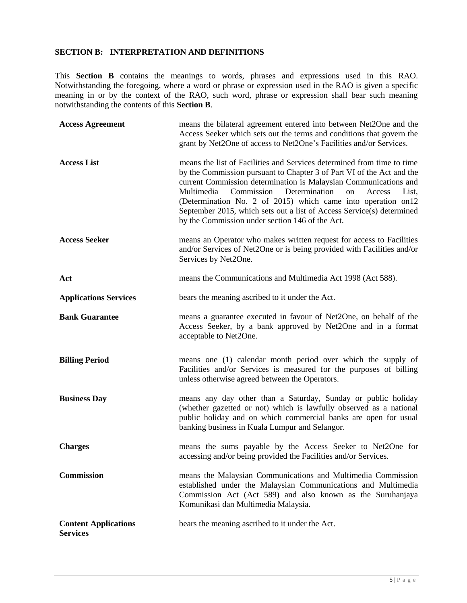## **SECTION B: INTERPRETATION AND DEFINITIONS**

This **Section B** contains the meanings to words, phrases and expressions used in this RAO. Notwithstanding the foregoing, where a word or phrase or expression used in the RAO is given a specific meaning in or by the context of the RAO, such word, phrase or expression shall bear such meaning notwithstanding the contents of this **Section B**.

| <b>Access Agreement</b>                        | means the bilateral agreement entered into between Net2One and the<br>Access Seeker which sets out the terms and conditions that govern the<br>grant by Net2One of access to Net2One's Facilities and/or Services.                                                                                                                                                                                                                                                                     |
|------------------------------------------------|----------------------------------------------------------------------------------------------------------------------------------------------------------------------------------------------------------------------------------------------------------------------------------------------------------------------------------------------------------------------------------------------------------------------------------------------------------------------------------------|
| <b>Access List</b>                             | means the list of Facilities and Services determined from time to time<br>by the Commission pursuant to Chapter 3 of Part VI of the Act and the<br>current Commission determination is Malaysian Communications and<br>Determination<br>Multimedia<br>Commission<br>on<br>Access<br>List,<br>(Determination No. 2 of 2015) which came into operation on 12<br>September 2015, which sets out a list of Access Service(s) determined<br>by the Commission under section 146 of the Act. |
| <b>Access Seeker</b>                           | means an Operator who makes written request for access to Facilities<br>and/or Services of Net2One or is being provided with Facilities and/or<br>Services by Net2One.                                                                                                                                                                                                                                                                                                                 |
| Act                                            | means the Communications and Multimedia Act 1998 (Act 588).                                                                                                                                                                                                                                                                                                                                                                                                                            |
| <b>Applications Services</b>                   | bears the meaning ascribed to it under the Act.                                                                                                                                                                                                                                                                                                                                                                                                                                        |
| <b>Bank Guarantee</b>                          | means a guarantee executed in favour of Net2One, on behalf of the<br>Access Seeker, by a bank approved by Net2One and in a format<br>acceptable to Net2One.                                                                                                                                                                                                                                                                                                                            |
| <b>Billing Period</b>                          | means one (1) calendar month period over which the supply of<br>Facilities and/or Services is measured for the purposes of billing<br>unless otherwise agreed between the Operators.                                                                                                                                                                                                                                                                                                   |
| <b>Business Day</b>                            | means any day other than a Saturday, Sunday or public holiday<br>(whether gazetted or not) which is lawfully observed as a national<br>public holiday and on which commercial banks are open for usual<br>banking business in Kuala Lumpur and Selangor.                                                                                                                                                                                                                               |
| <b>Charges</b>                                 | means the sums payable by the Access Seeker to Net2One for<br>accessing and/or being provided the Facilities and/or Services.                                                                                                                                                                                                                                                                                                                                                          |
| Commission                                     | means the Malaysian Communications and Multimedia Commission<br>established under the Malaysian Communications and Multimedia<br>Commission Act (Act 589) and also known as the Suruhanjaya<br>Komunikasi dan Multimedia Malaysia.                                                                                                                                                                                                                                                     |
| <b>Content Applications</b><br><b>Services</b> | bears the meaning ascribed to it under the Act.                                                                                                                                                                                                                                                                                                                                                                                                                                        |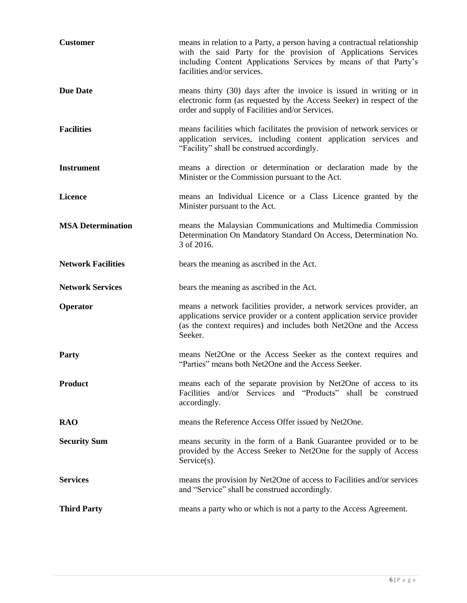| <b>Customer</b>           | means in relation to a Party, a person having a contractual relationship<br>with the said Party for the provision of Applications Services<br>including Content Applications Services by means of that Party's<br>facilities and/or services. |
|---------------------------|-----------------------------------------------------------------------------------------------------------------------------------------------------------------------------------------------------------------------------------------------|
| <b>Due Date</b>           | means thirty (30) days after the invoice is issued in writing or in<br>electronic form (as requested by the Access Seeker) in respect of the<br>order and supply of Facilities and/or Services.                                               |
| <b>Facilities</b>         | means facilities which facilitates the provision of network services or<br>application services, including content application services and<br>"Facility" shall be construed accordingly.                                                     |
| <b>Instrument</b>         | means a direction or determination or declaration made by the<br>Minister or the Commission pursuant to the Act.                                                                                                                              |
| <b>Licence</b>            | means an Individual Licence or a Class Licence granted by the<br>Minister pursuant to the Act.                                                                                                                                                |
| <b>MSA Determination</b>  | means the Malaysian Communications and Multimedia Commission<br>Determination On Mandatory Standard On Access, Determination No.<br>3 of 2016.                                                                                                |
| <b>Network Facilities</b> | bears the meaning as ascribed in the Act.                                                                                                                                                                                                     |
|                           |                                                                                                                                                                                                                                               |
| <b>Network Services</b>   | bears the meaning as ascribed in the Act.                                                                                                                                                                                                     |
| Operator                  | means a network facilities provider, a network services provider, an<br>applications service provider or a content application service provider<br>(as the context requires) and includes both Net2One and the Access<br>Seeker.              |
| Party                     | means Net2One or the Access Seeker as the context requires and<br>"Parties" means both Net2One and the Access Seeker.                                                                                                                         |
| <b>Product</b>            | means each of the separate provision by Net2One of access to its<br>Facilities and/or Services and "Products" shall be construed<br>accordingly.                                                                                              |
| <b>RAO</b>                | means the Reference Access Offer issued by Net2One.                                                                                                                                                                                           |
| <b>Security Sum</b>       | means security in the form of a Bank Guarantee provided or to be<br>provided by the Access Seeker to Net2One for the supply of Access<br>$Service(s)$ .                                                                                       |
| <b>Services</b>           | means the provision by Net2One of access to Facilities and/or services<br>and "Service" shall be construed accordingly.                                                                                                                       |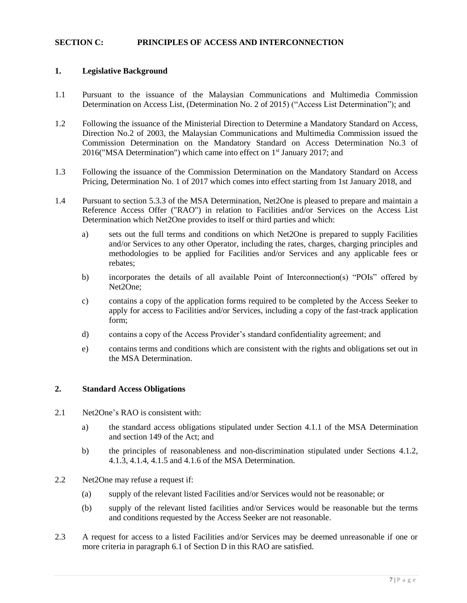#### **SECTION C: PRINCIPLES OF ACCESS AND INTERCONNECTION**

#### **1. Legislative Background**

- 1.1 Pursuant to the issuance of the Malaysian Communications and Multimedia Commission Determination on Access List, (Determination No. 2 of 2015) ("Access List Determination"); and
- 1.2 Following the issuance of the Ministerial Direction to Determine a Mandatory Standard on Access, Direction No.2 of 2003, the Malaysian Communications and Multimedia Commission issued the Commission Determination on the Mandatory Standard on Access Determination No.3 of 2016("MSA Determination") which came into effect on 1<sup>st</sup> January 2017; and
- 1.3 Following the issuance of the Commission Determination on the Mandatory Standard on Access Pricing, Determination No. 1 of 2017 which comes into effect starting from 1st January 2018, and
- 1.4 Pursuant to section 5.3.3 of the MSA Determination, Net2One is pleased to prepare and maintain a Reference Access Offer ("RAO") in relation to Facilities and/or Services on the Access List Determination which Net2One provides to itself or third parties and which:
	- a) sets out the full terms and conditions on which Net2One is prepared to supply Facilities and/or Services to any other Operator, including the rates, charges, charging principles and methodologies to be applied for Facilities and/or Services and any applicable fees or rebates;
	- b) incorporates the details of all available Point of Interconnection(s) "POIs" offered by Net2One;
	- c) contains a copy of the application forms required to be completed by the Access Seeker to apply for access to Facilities and/or Services, including a copy of the fast-track application form;
	- d) contains a copy of the Access Provider's standard confidentiality agreement; and
	- e) contains terms and conditions which are consistent with the rights and obligations set out in the MSA Determination.

#### **2. Standard Access Obligations**

- 2.1 Net2One's RAO is consistent with:
	- a) the standard access obligations stipulated under Section 4.1.1 of the MSA Determination and section 149 of the Act; and
	- b) the principles of reasonableness and non-discrimination stipulated under Sections 4.1.2, 4.1.3, 4.1.4, 4.1.5 and 4.1.6 of the MSA Determination.
- 2.2 Net2One may refuse a request if:
	- (a) supply of the relevant listed Facilities and/or Services would not be reasonable; or
	- (b) supply of the relevant listed facilities and/or Services would be reasonable but the terms and conditions requested by the Access Seeker are not reasonable.
- 2.3 A request for access to a listed Facilities and/or Services may be deemed unreasonable if one or more criteria in paragraph 6.1 of Section D in this RAO are satisfied.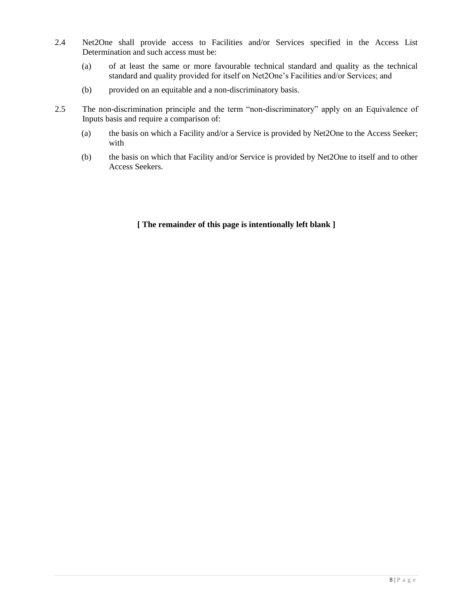- 2.4 Net2One shall provide access to Facilities and/or Services specified in the Access List Determination and such access must be:
	- (a) of at least the same or more favourable technical standard and quality as the technical standard and quality provided for itself on Net2One's Facilities and/or Services; and
	- (b) provided on an equitable and a non-discriminatory basis.
- 2.5 The non-discrimination principle and the term "non-discriminatory" apply on an Equivalence of Inputs basis and require a comparison of:
	- (a) the basis on which a Facility and/or a Service is provided by Net2One to the Access Seeker; with
	- (b) the basis on which that Facility and/or Service is provided by Net2One to itself and to other Access Seekers.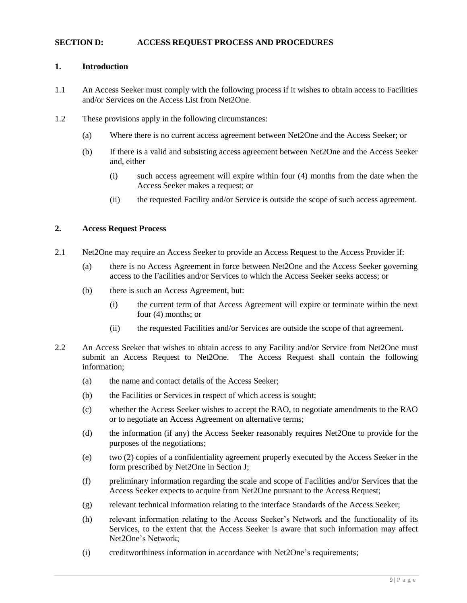#### **SECTION D: ACCESS REQUEST PROCESS AND PROCEDURES**

#### **1. Introduction**

- 1.1 An Access Seeker must comply with the following process if it wishes to obtain access to Facilities and/or Services on the Access List from Net2One.
- 1.2 These provisions apply in the following circumstances:
	- (a) Where there is no current access agreement between Net2One and the Access Seeker; or
	- (b) If there is a valid and subsisting access agreement between Net2One and the Access Seeker and, either
		- (i) such access agreement will expire within four (4) months from the date when the Access Seeker makes a request; or
		- (ii) the requested Facility and/or Service is outside the scope of such access agreement.

## **2. Access Request Process**

- 2.1 Net2One may require an Access Seeker to provide an Access Request to the Access Provider if:
	- (a) there is no Access Agreement in force between Net2One and the Access Seeker governing access to the Facilities and/or Services to which the Access Seeker seeks access; or
	- (b) there is such an Access Agreement, but:
		- (i) the current term of that Access Agreement will expire or terminate within the next four (4) months; or
		- (ii) the requested Facilities and/or Services are outside the scope of that agreement.
- 2.2 An Access Seeker that wishes to obtain access to any Facility and/or Service from Net2One must submit an Access Request to Net2One. The Access Request shall contain the following information;
	- (a) the name and contact details of the Access Seeker;
	- (b) the Facilities or Services in respect of which access is sought;
	- (c) whether the Access Seeker wishes to accept the RAO, to negotiate amendments to the RAO or to negotiate an Access Agreement on alternative terms;
	- (d) the information (if any) the Access Seeker reasonably requires Net2One to provide for the purposes of the negotiations;
	- (e) two (2) copies of a confidentiality agreement properly executed by the Access Seeker in the form prescribed by Net2One in Section J;
	- (f) preliminary information regarding the scale and scope of Facilities and/or Services that the Access Seeker expects to acquire from Net2One pursuant to the Access Request;
	- (g) relevant technical information relating to the interface Standards of the Access Seeker;
	- (h) relevant information relating to the Access Seeker's Network and the functionality of its Services, to the extent that the Access Seeker is aware that such information may affect Net2One's Network;
	- (i) creditworthiness information in accordance with Net2One's requirements;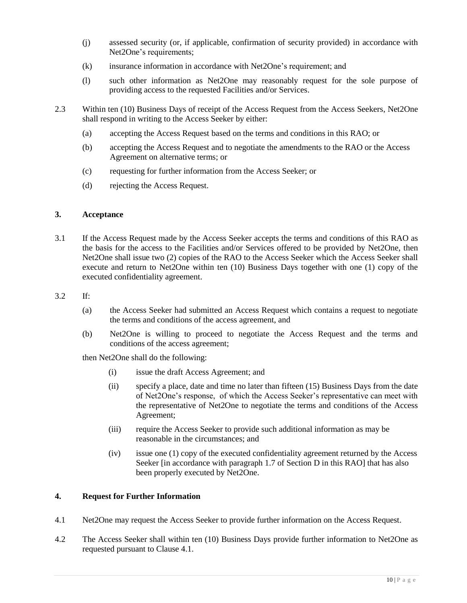- (j) assessed security (or, if applicable, confirmation of security provided) in accordance with Net2One's requirements;
- (k) insurance information in accordance with Net2One's requirement; and
- (l) such other information as Net2One may reasonably request for the sole purpose of providing access to the requested Facilities and/or Services.
- 2.3 Within ten (10) Business Days of receipt of the Access Request from the Access Seekers, Net2One shall respond in writing to the Access Seeker by either:
	- (a) accepting the Access Request based on the terms and conditions in this RAO; or
	- (b) accepting the Access Request and to negotiate the amendments to the RAO or the Access Agreement on alternative terms; or
	- (c) requesting for further information from the Access Seeker; or
	- (d) rejecting the Access Request.

## **3. Acceptance**

3.1 If the Access Request made by the Access Seeker accepts the terms and conditions of this RAO as the basis for the access to the Facilities and/or Services offered to be provided by Net2One, then Net2One shall issue two (2) copies of the RAO to the Access Seeker which the Access Seeker shall execute and return to Net2One within ten (10) Business Days together with one (1) copy of the executed confidentiality agreement.

#### 3.2 If:

- (a) the Access Seeker had submitted an Access Request which contains a request to negotiate the terms and conditions of the access agreement, and
- (b) Net2One is willing to proceed to negotiate the Access Request and the terms and conditions of the access agreement;

then Net2One shall do the following:

- (i) issue the draft Access Agreement; and
- (ii) specify a place, date and time no later than fifteen (15) Business Days from the date of Net2One's response, of which the Access Seeker's representative can meet with the representative of Net2One to negotiate the terms and conditions of the Access Agreement;
- (iii) require the Access Seeker to provide such additional information as may be reasonable in the circumstances; and
- (iv) issue one (1) copy of the executed confidentiality agreement returned by the Access Seeker [in accordance with paragraph 1.7 of Section D in this RAO] that has also been properly executed by Net2One.

#### **4. Request for Further Information**

- 4.1 Net2One may request the Access Seeker to provide further information on the Access Request.
- 4.2 The Access Seeker shall within ten (10) Business Days provide further information to Net2One as requested pursuant to Clause 4.1.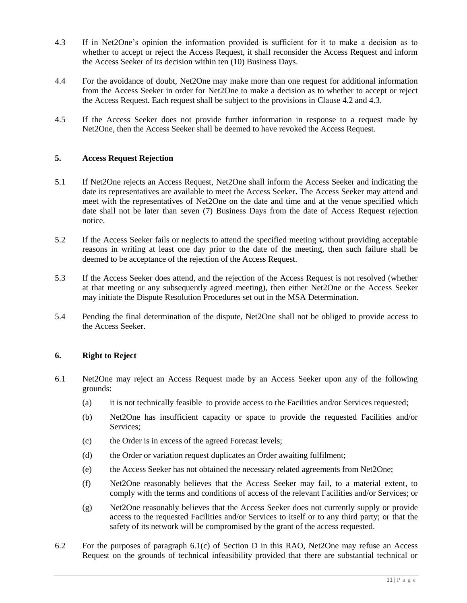- 4.3 If in Net2One's opinion the information provided is sufficient for it to make a decision as to whether to accept or reject the Access Request, it shall reconsider the Access Request and inform the Access Seeker of its decision within ten (10) Business Days.
- 4.4 For the avoidance of doubt, Net2One may make more than one request for additional information from the Access Seeker in order for Net2One to make a decision as to whether to accept or reject the Access Request. Each request shall be subject to the provisions in Clause 4.2 and 4.3.
- 4.5 If the Access Seeker does not provide further information in response to a request made by Net2One, then the Access Seeker shall be deemed to have revoked the Access Request.

#### **5. Access Request Rejection**

- 5.1 If Net2One rejects an Access Request, Net2One shall inform the Access Seeker and indicating the date its representatives are available to meet the Access Seeker**.** The Access Seeker may attend and meet with the representatives of Net2One on the date and time and at the venue specified which date shall not be later than seven (7) Business Days from the date of Access Request rejection notice.
- 5.2 If the Access Seeker fails or neglects to attend the specified meeting without providing acceptable reasons in writing at least one day prior to the date of the meeting, then such failure shall be deemed to be acceptance of the rejection of the Access Request.
- 5.3 If the Access Seeker does attend, and the rejection of the Access Request is not resolved (whether at that meeting or any subsequently agreed meeting), then either Net2One or the Access Seeker may initiate the Dispute Resolution Procedures set out in the MSA Determination.
- 5.4 Pending the final determination of the dispute, Net2One shall not be obliged to provide access to the Access Seeker.

#### **6. Right to Reject**

- 6.1 Net2One may reject an Access Request made by an Access Seeker upon any of the following grounds:
	- (a) it is not technically feasible to provide access to the Facilities and/or Services requested;
	- (b) Net2One has insufficient capacity or space to provide the requested Facilities and/or Services;
	- (c) the Order is in excess of the agreed Forecast levels;
	- (d) the Order or variation request duplicates an Order awaiting fulfilment;
	- (e) the Access Seeker has not obtained the necessary related agreements from Net2One;
	- (f) Net2One reasonably believes that the Access Seeker may fail, to a material extent, to comply with the terms and conditions of access of the relevant Facilities and/or Services; or
	- (g) Net2One reasonably believes that the Access Seeker does not currently supply or provide access to the requested Facilities and/or Services to itself or to any third party; or that the safety of its network will be compromised by the grant of the access requested.
- 6.2 For the purposes of paragraph 6.1(c) of Section D in this RAO, Net2One may refuse an Access Request on the grounds of technical infeasibility provided that there are substantial technical or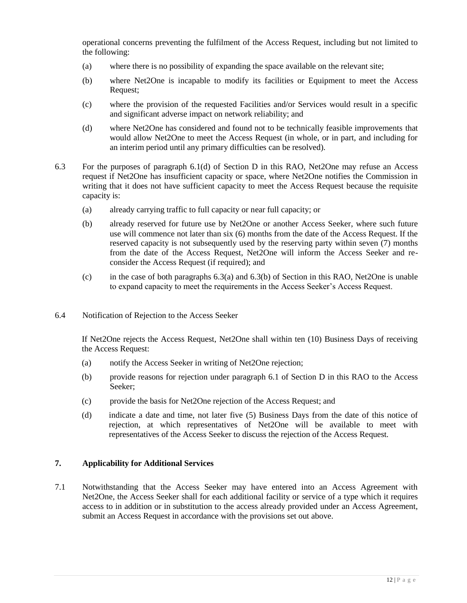operational concerns preventing the fulfilment of the Access Request, including but not limited to the following:

- (a) where there is no possibility of expanding the space available on the relevant site;
- (b) where Net2One is incapable to modify its facilities or Equipment to meet the Access Request;
- (c) where the provision of the requested Facilities and/or Services would result in a specific and significant adverse impact on network reliability; and
- (d) where Net2One has considered and found not to be technically feasible improvements that would allow Net2One to meet the Access Request (in whole, or in part, and including for an interim period until any primary difficulties can be resolved).
- 6.3 For the purposes of paragraph 6.1(d) of Section D in this RAO, Net2One may refuse an Access request if Net2One has insufficient capacity or space, where Net2One notifies the Commission in writing that it does not have sufficient capacity to meet the Access Request because the requisite capacity is:
	- (a) already carrying traffic to full capacity or near full capacity; or
	- (b) already reserved for future use by Net2One or another Access Seeker, where such future use will commence not later than six (6) months from the date of the Access Request. If the reserved capacity is not subsequently used by the reserving party within seven (7) months from the date of the Access Request, Net2One will inform the Access Seeker and reconsider the Access Request (if required); and
	- (c) in the case of both paragraphs 6.3(a) and 6.3(b) of Section in this RAO, Net2One is unable to expand capacity to meet the requirements in the Access Seeker's Access Request.
- 6.4 Notification of Rejection to the Access Seeker

If Net2One rejects the Access Request, Net2One shall within ten (10) Business Days of receiving the Access Request:

- (a) notify the Access Seeker in writing of Net2One rejection;
- (b) provide reasons for rejection under paragraph 6.1 of Section D in this RAO to the Access Seeker;
- (c) provide the basis for Net2One rejection of the Access Request; and
- (d) indicate a date and time, not later five (5) Business Days from the date of this notice of rejection, at which representatives of Net2One will be available to meet with representatives of the Access Seeker to discuss the rejection of the Access Request.

#### **7. Applicability for Additional Services**

7.1 Notwithstanding that the Access Seeker may have entered into an Access Agreement with Net2One, the Access Seeker shall for each additional facility or service of a type which it requires access to in addition or in substitution to the access already provided under an Access Agreement, submit an Access Request in accordance with the provisions set out above.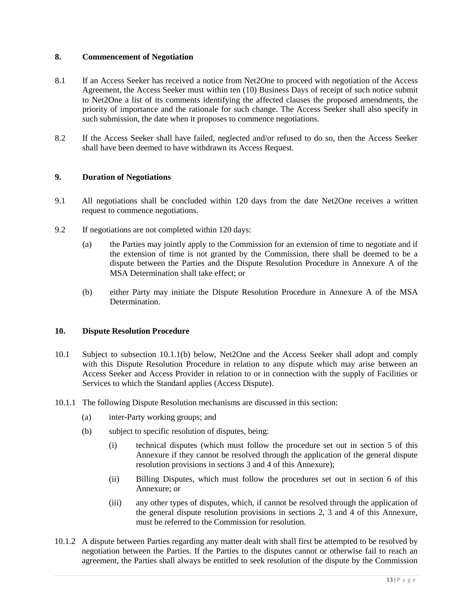## **8. Commencement of Negotiation**

- 8.1 If an Access Seeker has received a notice from Net2One to proceed with negotiation of the Access Agreement, the Access Seeker must within ten (10) Business Days of receipt of such notice submit to Net2One a list of its comments identifying the affected clauses the proposed amendments, the priority of importance and the rationale for such change. The Access Seeker shall also specify in such submission, the date when it proposes to commence negotiations.
- 8.2 If the Access Seeker shall have failed, neglected and/or refused to do so, then the Access Seeker shall have been deemed to have withdrawn its Access Request.

#### **9. Duration of Negotiations**

- 9.1 All negotiations shall be concluded within 120 days from the date Net2One receives a written request to commence negotiations.
- 9.2 If negotiations are not completed within 120 days:
	- (a) the Parties may jointly apply to the Commission for an extension of time to negotiate and if the extension of time is not granted by the Commission, there shall be deemed to be a dispute between the Parties and the Dispute Resolution Procedure in Annexure A of the MSA Determination shall take effect; or
	- (b) either Party may initiate the Dispute Resolution Procedure in Annexure A of the MSA Determination.

## **10. Dispute Resolution Procedure**

- 10.1 Subject to subsection 10.1.1(b) below, Net2One and the Access Seeker shall adopt and comply with this Dispute Resolution Procedure in relation to any dispute which may arise between an Access Seeker and Access Provider in relation to or in connection with the supply of Facilities or Services to which the Standard applies (Access Dispute).
- 10.1.1 The following Dispute Resolution mechanisms are discussed in this section:
	- (a) inter-Party working groups; and
	- (b) subject to specific resolution of disputes, being:
		- (i) technical disputes (which must follow the procedure set out in section 5 of this Annexure if they cannot be resolved through the application of the general dispute resolution provisions in sections 3 and 4 of this Annexure);
		- (ii) Billing Disputes, which must follow the procedures set out in section 6 of this Annexure; or
		- (iii) any other types of disputes, which, if cannot be resolved through the application of the general dispute resolution provisions in sections 2, 3 and 4 of this Annexure, must be referred to the Commission for resolution.
- 10.1.2 A dispute between Parties regarding any matter dealt with shall first be attempted to be resolved by negotiation between the Parties. If the Parties to the disputes cannot or otherwise fail to reach an agreement, the Parties shall always be entitled to seek resolution of the dispute by the Commission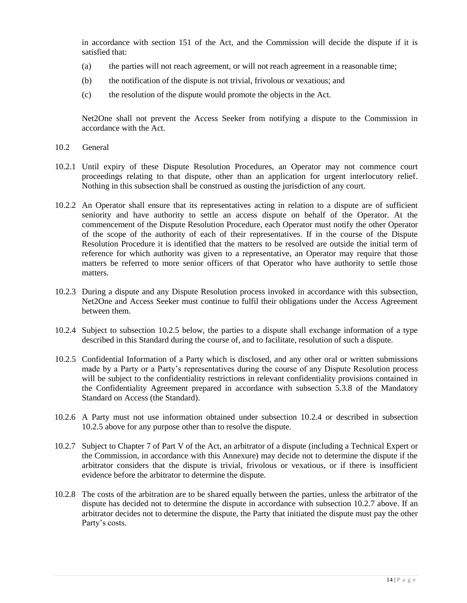in accordance with section 151 of the Act, and the Commission will decide the dispute if it is satisfied that:

- (a) the parties will not reach agreement, or will not reach agreement in a reasonable time;
- (b) the notification of the dispute is not trivial, frivolous or vexatious; and
- (c) the resolution of the dispute would promote the objects in the Act.

Net2One shall not prevent the Access Seeker from notifying a dispute to the Commission in accordance with the Act.

- 10.2 General
- 10.2.1 Until expiry of these Dispute Resolution Procedures, an Operator may not commence court proceedings relating to that dispute, other than an application for urgent interlocutory relief. Nothing in this subsection shall be construed as ousting the jurisdiction of any court.
- 10.2.2 An Operator shall ensure that its representatives acting in relation to a dispute are of sufficient seniority and have authority to settle an access dispute on behalf of the Operator. At the commencement of the Dispute Resolution Procedure, each Operator must notify the other Operator of the scope of the authority of each of their representatives. If in the course of the Dispute Resolution Procedure it is identified that the matters to be resolved are outside the initial term of reference for which authority was given to a representative, an Operator may require that those matters be referred to more senior officers of that Operator who have authority to settle those matters.
- 10.2.3 During a dispute and any Dispute Resolution process invoked in accordance with this subsection, Net2One and Access Seeker must continue to fulfil their obligations under the Access Agreement between them.
- 10.2.4 Subject to subsection 10.2.5 below, the parties to a dispute shall exchange information of a type described in this Standard during the course of, and to facilitate, resolution of such a dispute.
- 10.2.5 Confidential Information of a Party which is disclosed, and any other oral or written submissions made by a Party or a Party's representatives during the course of any Dispute Resolution process will be subject to the confidentiality restrictions in relevant confidentiality provisions contained in the Confidentiality Agreement prepared in accordance with subsection 5.3.8 of the Mandatory Standard on Access (the Standard).
- 10.2.6 A Party must not use information obtained under subsection 10.2.4 or described in subsection 10.2.5 above for any purpose other than to resolve the dispute.
- 10.2.7 Subject to Chapter 7 of Part V of the Act, an arbitrator of a dispute (including a Technical Expert or the Commission, in accordance with this Annexure) may decide not to determine the dispute if the arbitrator considers that the dispute is trivial, frivolous or vexatious, or if there is insufficient evidence before the arbitrator to determine the dispute.
- 10.2.8 The costs of the arbitration are to be shared equally between the parties, unless the arbitrator of the dispute has decided not to determine the dispute in accordance with subsection 10.2.7 above. If an arbitrator decides not to determine the dispute, the Party that initiated the dispute must pay the other Party's costs.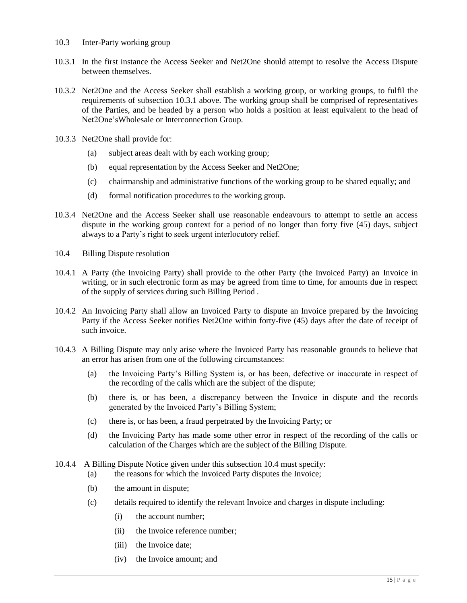- 10.3 Inter-Party working group
- 10.3.1 In the first instance the Access Seeker and Net2One should attempt to resolve the Access Dispute between themselves.
- 10.3.2 Net2One and the Access Seeker shall establish a working group, or working groups, to fulfil the requirements of subsection 10.3.1 above. The working group shall be comprised of representatives of the Parties, and be headed by a person who holds a position at least equivalent to the head of Net2One'sWholesale or Interconnection Group.
- 10.3.3 Net2One shall provide for:
	- (a) subject areas dealt with by each working group;
	- (b) equal representation by the Access Seeker and Net2One;
	- (c) chairmanship and administrative functions of the working group to be shared equally; and
	- (d) formal notification procedures to the working group.
- 10.3.4 Net2One and the Access Seeker shall use reasonable endeavours to attempt to settle an access dispute in the working group context for a period of no longer than forty five (45) days, subject always to a Party's right to seek urgent interlocutory relief.
- 10.4 Billing Dispute resolution
- 10.4.1 A Party (the Invoicing Party) shall provide to the other Party (the Invoiced Party) an Invoice in writing, or in such electronic form as may be agreed from time to time, for amounts due in respect of the supply of services during such Billing Period .
- 10.4.2 An Invoicing Party shall allow an Invoiced Party to dispute an Invoice prepared by the Invoicing Party if the Access Seeker notifies Net2One within forty-five (45) days after the date of receipt of such invoice.
- 10.4.3 A Billing Dispute may only arise where the Invoiced Party has reasonable grounds to believe that an error has arisen from one of the following circumstances:
	- (a) the Invoicing Party's Billing System is, or has been, defective or inaccurate in respect of the recording of the calls which are the subject of the dispute;
	- (b) there is, or has been, a discrepancy between the Invoice in dispute and the records generated by the Invoiced Party's Billing System;
	- (c) there is, or has been, a fraud perpetrated by the Invoicing Party; or
	- (d) the Invoicing Party has made some other error in respect of the recording of the calls or calculation of the Charges which are the subject of the Billing Dispute.
- 10.4.4 A Billing Dispute Notice given under this subsection 10.4 must specify:
	- (a) the reasons for which the Invoiced Party disputes the Invoice;
		- (b) the amount in dispute;
		- (c) details required to identify the relevant Invoice and charges in dispute including:
			- (i) the account number;
			- (ii) the Invoice reference number;
			- (iii) the Invoice date;
			- (iv) the Invoice amount; and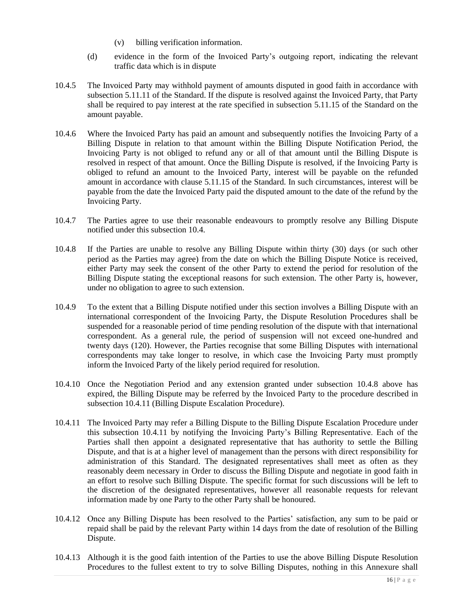- (v) billing verification information.
- (d) evidence in the form of the Invoiced Party's outgoing report, indicating the relevant traffic data which is in dispute
- 10.4.5 The Invoiced Party may withhold payment of amounts disputed in good faith in accordance with subsection 5.11.11 of the Standard. If the dispute is resolved against the Invoiced Party, that Party shall be required to pay interest at the rate specified in subsection 5.11.15 of the Standard on the amount payable.
- 10.4.6 Where the Invoiced Party has paid an amount and subsequently notifies the Invoicing Party of a Billing Dispute in relation to that amount within the Billing Dispute Notification Period, the Invoicing Party is not obliged to refund any or all of that amount until the Billing Dispute is resolved in respect of that amount. Once the Billing Dispute is resolved, if the Invoicing Party is obliged to refund an amount to the Invoiced Party, interest will be payable on the refunded amount in accordance with clause 5.11.15 of the Standard. In such circumstances, interest will be payable from the date the Invoiced Party paid the disputed amount to the date of the refund by the Invoicing Party.
- 10.4.7 The Parties agree to use their reasonable endeavours to promptly resolve any Billing Dispute notified under this subsection 10.4.
- 10.4.8 If the Parties are unable to resolve any Billing Dispute within thirty (30) days (or such other period as the Parties may agree) from the date on which the Billing Dispute Notice is received, either Party may seek the consent of the other Party to extend the period for resolution of the Billing Dispute stating the exceptional reasons for such extension. The other Party is, however, under no obligation to agree to such extension.
- 10.4.9 To the extent that a Billing Dispute notified under this section involves a Billing Dispute with an international correspondent of the Invoicing Party, the Dispute Resolution Procedures shall be suspended for a reasonable period of time pending resolution of the dispute with that international correspondent. As a general rule, the period of suspension will not exceed one-hundred and twenty days (120). However, the Parties recognise that some Billing Disputes with international correspondents may take longer to resolve, in which case the Invoicing Party must promptly inform the Invoiced Party of the likely period required for resolution.
- 10.4.10 Once the Negotiation Period and any extension granted under subsection 10.4.8 above has expired, the Billing Dispute may be referred by the Invoiced Party to the procedure described in subsection 10.4.11 (Billing Dispute Escalation Procedure).
- 10.4.11 The Invoiced Party may refer a Billing Dispute to the Billing Dispute Escalation Procedure under this subsection 10.4.11 by notifying the Invoicing Party's Billing Representative. Each of the Parties shall then appoint a designated representative that has authority to settle the Billing Dispute, and that is at a higher level of management than the persons with direct responsibility for administration of this Standard. The designated representatives shall meet as often as they reasonably deem necessary in Order to discuss the Billing Dispute and negotiate in good faith in an effort to resolve such Billing Dispute. The specific format for such discussions will be left to the discretion of the designated representatives, however all reasonable requests for relevant information made by one Party to the other Party shall be honoured.
- 10.4.12 Once any Billing Dispute has been resolved to the Parties' satisfaction, any sum to be paid or repaid shall be paid by the relevant Party within 14 days from the date of resolution of the Billing Dispute.
- 10.4.13 Although it is the good faith intention of the Parties to use the above Billing Dispute Resolution Procedures to the fullest extent to try to solve Billing Disputes, nothing in this Annexure shall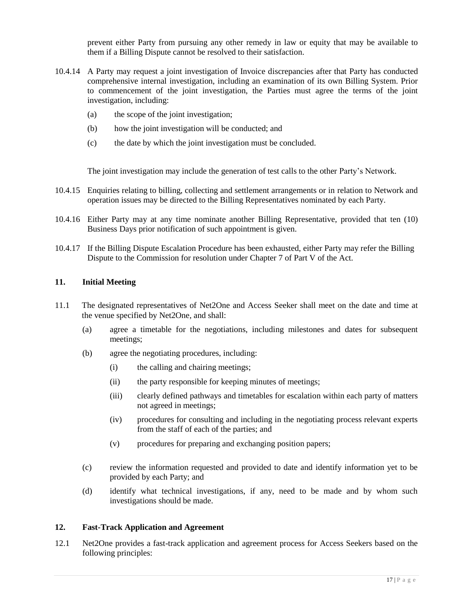prevent either Party from pursuing any other remedy in law or equity that may be available to them if a Billing Dispute cannot be resolved to their satisfaction.

- 10.4.14 A Party may request a joint investigation of Invoice discrepancies after that Party has conducted comprehensive internal investigation, including an examination of its own Billing System. Prior to commencement of the joint investigation, the Parties must agree the terms of the joint investigation, including:
	- (a) the scope of the joint investigation;
	- (b) how the joint investigation will be conducted; and
	- (c) the date by which the joint investigation must be concluded.

The joint investigation may include the generation of test calls to the other Party's Network.

- 10.4.15 Enquiries relating to billing, collecting and settlement arrangements or in relation to Network and operation issues may be directed to the Billing Representatives nominated by each Party.
- 10.4.16 Either Party may at any time nominate another Billing Representative, provided that ten (10) Business Days prior notification of such appointment is given.
- 10.4.17 If the Billing Dispute Escalation Procedure has been exhausted, either Party may refer the Billing Dispute to the Commission for resolution under Chapter 7 of Part V of the Act.

## **11. Initial Meeting**

- 11.1 The designated representatives of Net2One and Access Seeker shall meet on the date and time at the venue specified by Net2One, and shall:
	- (a) agree a timetable for the negotiations, including milestones and dates for subsequent meetings;
	- (b) agree the negotiating procedures, including:
		- (i) the calling and chairing meetings;
		- (ii) the party responsible for keeping minutes of meetings;
		- (iii) clearly defined pathways and timetables for escalation within each party of matters not agreed in meetings;
		- (iv) procedures for consulting and including in the negotiating process relevant experts from the staff of each of the parties; and
		- (v) procedures for preparing and exchanging position papers;
	- (c) review the information requested and provided to date and identify information yet to be provided by each Party; and
	- (d) identify what technical investigations, if any, need to be made and by whom such investigations should be made.

#### **12. Fast-Track Application and Agreement**

12.1 Net2One provides a fast-track application and agreement process for Access Seekers based on the following principles: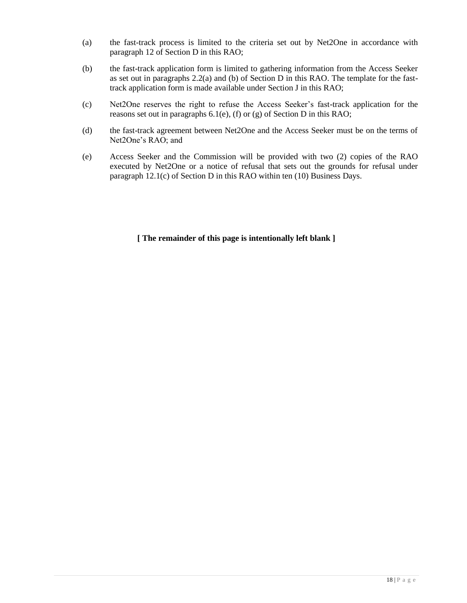- (a) the fast-track process is limited to the criteria set out by Net2One in accordance with paragraph 12 of Section D in this RAO;
- (b) the fast-track application form is limited to gathering information from the Access Seeker as set out in paragraphs 2.2(a) and (b) of Section D in this RAO. The template for the fasttrack application form is made available under Section J in this RAO;
- (c) Net2One reserves the right to refuse the Access Seeker's fast-track application for the reasons set out in paragraphs  $6.1(e)$ , (f) or (g) of Section D in this RAO;
- (d) the fast-track agreement between Net2One and the Access Seeker must be on the terms of Net2One's RAO; and
- (e) Access Seeker and the Commission will be provided with two (2) copies of the RAO executed by Net2One or a notice of refusal that sets out the grounds for refusal under paragraph 12.1(c) of Section D in this RAO within ten (10) Business Days.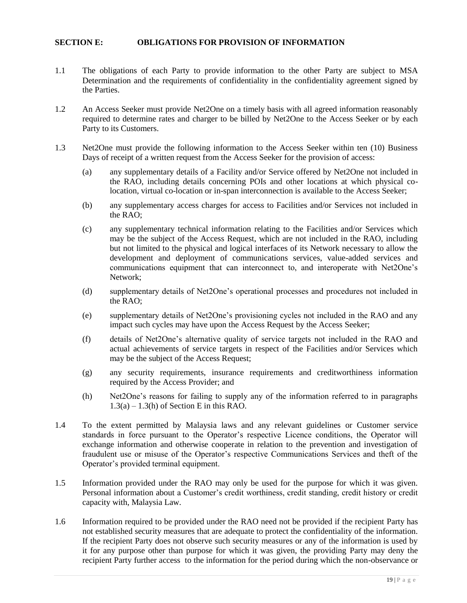#### **SECTION E: OBLIGATIONS FOR PROVISION OF INFORMATION**

- 1.1 The obligations of each Party to provide information to the other Party are subject to MSA Determination and the requirements of confidentiality in the confidentiality agreement signed by the Parties.
- 1.2 An Access Seeker must provide Net2One on a timely basis with all agreed information reasonably required to determine rates and charger to be billed by Net2One to the Access Seeker or by each Party to its Customers.
- 1.3 Net2One must provide the following information to the Access Seeker within ten (10) Business Days of receipt of a written request from the Access Seeker for the provision of access:
	- (a) any supplementary details of a Facility and/or Service offered by Net2One not included in the RAO, including details concerning POIs and other locations at which physical colocation, virtual co-location or in-span interconnection is available to the Access Seeker;
	- (b) any supplementary access charges for access to Facilities and/or Services not included in the RAO;
	- (c) any supplementary technical information relating to the Facilities and/or Services which may be the subject of the Access Request, which are not included in the RAO, including but not limited to the physical and logical interfaces of its Network necessary to allow the development and deployment of communications services, value-added services and communications equipment that can interconnect to, and interoperate with Net2One's Network;
	- (d) supplementary details of Net2One's operational processes and procedures not included in the RAO;
	- (e) supplementary details of Net2One's provisioning cycles not included in the RAO and any impact such cycles may have upon the Access Request by the Access Seeker;
	- (f) details of Net2One's alternative quality of service targets not included in the RAO and actual achievements of service targets in respect of the Facilities and/or Services which may be the subject of the Access Request;
	- (g) any security requirements, insurance requirements and creditworthiness information required by the Access Provider; and
	- (h) Net2One's reasons for failing to supply any of the information referred to in paragraphs  $1.3(a) - 1.3(h)$  of Section E in this RAO.
- 1.4 To the extent permitted by Malaysia laws and any relevant guidelines or Customer service standards in force pursuant to the Operator's respective Licence conditions, the Operator will exchange information and otherwise cooperate in relation to the prevention and investigation of fraudulent use or misuse of the Operator's respective Communications Services and theft of the Operator's provided terminal equipment.
- 1.5 Information provided under the RAO may only be used for the purpose for which it was given. Personal information about a Customer's credit worthiness, credit standing, credit history or credit capacity with, Malaysia Law.
- 1.6 Information required to be provided under the RAO need not be provided if the recipient Party has not established security measures that are adequate to protect the confidentiality of the information. If the recipient Party does not observe such security measures or any of the information is used by it for any purpose other than purpose for which it was given, the providing Party may deny the recipient Party further access to the information for the period during which the non-observance or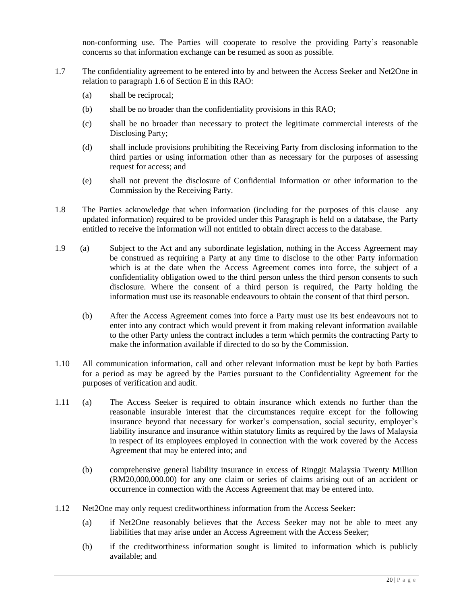non-conforming use. The Parties will cooperate to resolve the providing Party's reasonable concerns so that information exchange can be resumed as soon as possible.

- 1.7 The confidentiality agreement to be entered into by and between the Access Seeker and Net2One in relation to paragraph 1.6 of Section E in this RAO:
	- (a) shall be reciprocal;
	- (b) shall be no broader than the confidentiality provisions in this RAO;
	- (c) shall be no broader than necessary to protect the legitimate commercial interests of the Disclosing Party;
	- (d) shall include provisions prohibiting the Receiving Party from disclosing information to the third parties or using information other than as necessary for the purposes of assessing request for access; and
	- (e) shall not prevent the disclosure of Confidential Information or other information to the Commission by the Receiving Party.
- 1.8 The Parties acknowledge that when information (including for the purposes of this clause any updated information) required to be provided under this Paragraph is held on a database, the Party entitled to receive the information will not entitled to obtain direct access to the database.
- 1.9 (a) Subject to the Act and any subordinate legislation, nothing in the Access Agreement may be construed as requiring a Party at any time to disclose to the other Party information which is at the date when the Access Agreement comes into force, the subject of a confidentiality obligation owed to the third person unless the third person consents to such disclosure. Where the consent of a third person is required, the Party holding the information must use its reasonable endeavours to obtain the consent of that third person.
	- (b) After the Access Agreement comes into force a Party must use its best endeavours not to enter into any contract which would prevent it from making relevant information available to the other Party unless the contract includes a term which permits the contracting Party to make the information available if directed to do so by the Commission.
- 1.10 All communication information, call and other relevant information must be kept by both Parties for a period as may be agreed by the Parties pursuant to the Confidentiality Agreement for the purposes of verification and audit.
- 1.11 (a) The Access Seeker is required to obtain insurance which extends no further than the reasonable insurable interest that the circumstances require except for the following insurance beyond that necessary for worker's compensation, social security, employer's liability insurance and insurance within statutory limits as required by the laws of Malaysia in respect of its employees employed in connection with the work covered by the Access Agreement that may be entered into; and
	- (b) comprehensive general liability insurance in excess of Ringgit Malaysia Twenty Million (RM20,000,000.00) for any one claim or series of claims arising out of an accident or occurrence in connection with the Access Agreement that may be entered into.
- 1.12 Net2One may only request creditworthiness information from the Access Seeker:
	- (a) if Net2One reasonably believes that the Access Seeker may not be able to meet any liabilities that may arise under an Access Agreement with the Access Seeker;
	- (b) if the creditworthiness information sought is limited to information which is publicly available; and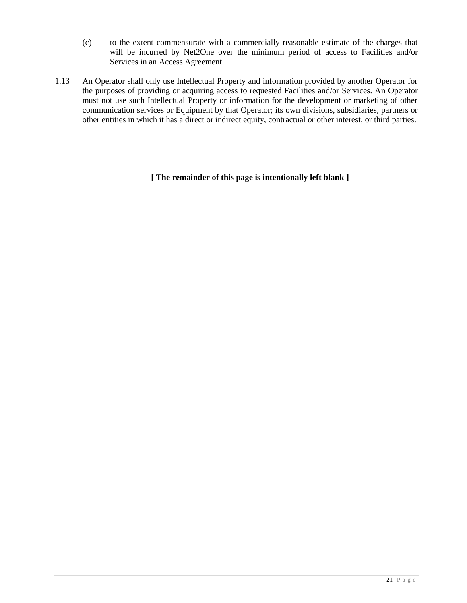- (c) to the extent commensurate with a commercially reasonable estimate of the charges that will be incurred by Net2One over the minimum period of access to Facilities and/or Services in an Access Agreement.
- 1.13 An Operator shall only use Intellectual Property and information provided by another Operator for the purposes of providing or acquiring access to requested Facilities and/or Services. An Operator must not use such Intellectual Property or information for the development or marketing of other communication services or Equipment by that Operator; its own divisions, subsidiaries, partners or other entities in which it has a direct or indirect equity, contractual or other interest, or third parties.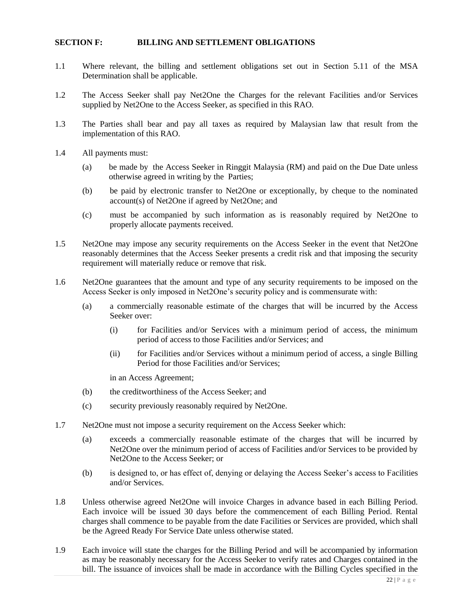#### **SECTION F: BILLING AND SETTLEMENT OBLIGATIONS**

- 1.1 Where relevant, the billing and settlement obligations set out in Section 5.11 of the MSA Determination shall be applicable.
- 1.2 The Access Seeker shall pay Net2One the Charges for the relevant Facilities and/or Services supplied by Net2One to the Access Seeker, as specified in this RAO.
- 1.3 The Parties shall bear and pay all taxes as required by Malaysian law that result from the implementation of this RAO.
- 1.4 All payments must:
	- (a) be made by the Access Seeker in Ringgit Malaysia (RM) and paid on the Due Date unless otherwise agreed in writing by the Parties;
	- (b) be paid by electronic transfer to Net2One or exceptionally, by cheque to the nominated account(s) of Net2One if agreed by Net2One; and
	- (c) must be accompanied by such information as is reasonably required by Net2One to properly allocate payments received.
- 1.5 Net2One may impose any security requirements on the Access Seeker in the event that Net2One reasonably determines that the Access Seeker presents a credit risk and that imposing the security requirement will materially reduce or remove that risk.
- 1.6 Net2One guarantees that the amount and type of any security requirements to be imposed on the Access Seeker is only imposed in Net2One's security policy and is commensurate with:
	- (a) a commercially reasonable estimate of the charges that will be incurred by the Access Seeker over:
		- (i) for Facilities and/or Services with a minimum period of access, the minimum period of access to those Facilities and/or Services; and
		- (ii) for Facilities and/or Services without a minimum period of access, a single Billing Period for those Facilities and/or Services;

in an Access Agreement;

- (b) the creditworthiness of the Access Seeker; and
- (c) security previously reasonably required by Net2One.
- 1.7 Net2One must not impose a security requirement on the Access Seeker which:
	- (a) exceeds a commercially reasonable estimate of the charges that will be incurred by Net2One over the minimum period of access of Facilities and/or Services to be provided by Net2One to the Access Seeker; or
	- (b) is designed to, or has effect of, denying or delaying the Access Seeker's access to Facilities and/or Services.
- 1.8 Unless otherwise agreed Net2One will invoice Charges in advance based in each Billing Period. Each invoice will be issued 30 days before the commencement of each Billing Period. Rental charges shall commence to be payable from the date Facilities or Services are provided, which shall be the Agreed Ready For Service Date unless otherwise stated.
- 1.9 Each invoice will state the charges for the Billing Period and will be accompanied by information as may be reasonably necessary for the Access Seeker to verify rates and Charges contained in the bill. The issuance of invoices shall be made in accordance with the Billing Cycles specified in the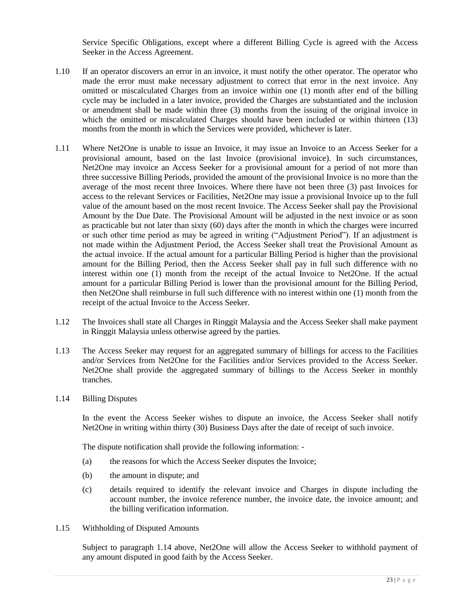Service Specific Obligations, except where a different Billing Cycle is agreed with the Access Seeker in the Access Agreement.

- 1.10 If an operator discovers an error in an invoice, it must notify the other operator. The operator who made the error must make necessary adjustment to correct that error in the next invoice. Any omitted or miscalculated Charges from an invoice within one (1) month after end of the billing cycle may be included in a later invoice, provided the Charges are substantiated and the inclusion or amendment shall be made within three (3) months from the issuing of the original invoice in which the omitted or miscalculated Charges should have been included or within thirteen (13) months from the month in which the Services were provided, whichever is later.
- 1.11 Where Net2One is unable to issue an Invoice, it may issue an Invoice to an Access Seeker for a provisional amount, based on the last Invoice (provisional invoice). In such circumstances, Net2One may invoice an Access Seeker for a provisional amount for a period of not more than three successive Billing Periods, provided the amount of the provisional Invoice is no more than the average of the most recent three Invoices. Where there have not been three (3) past Invoices for access to the relevant Services or Facilities, Net2One may issue a provisional Invoice up to the full value of the amount based on the most recent Invoice. The Access Seeker shall pay the Provisional Amount by the Due Date. The Provisional Amount will be adjusted in the next invoice or as soon as practicable but not later than sixty (60) days after the month in which the charges were incurred or such other time period as may be agreed in writing ("Adjustment Period"). If an adjustment is not made within the Adjustment Period, the Access Seeker shall treat the Provisional Amount as the actual invoice. If the actual amount for a particular Billing Period is higher than the provisional amount for the Billing Period, then the Access Seeker shall pay in full such difference with no interest within one (1) month from the receipt of the actual Invoice to Net2One. If the actual amount for a particular Billing Period is lower than the provisional amount for the Billing Period, then Net2One shall reimburse in full such difference with no interest within one (1) month from the receipt of the actual Invoice to the Access Seeker.
- 1.12 The Invoices shall state all Charges in Ringgit Malaysia and the Access Seeker shall make payment in Ringgit Malaysia unless otherwise agreed by the parties.
- 1.13 The Access Seeker may request for an aggregated summary of billings for access to the Facilities and/or Services from Net2One for the Facilities and/or Services provided to the Access Seeker. Net2One shall provide the aggregated summary of billings to the Access Seeker in monthly tranches.
- 1.14 Billing Disputes

In the event the Access Seeker wishes to dispute an invoice, the Access Seeker shall notify Net2One in writing within thirty (30) Business Days after the date of receipt of such invoice.

The dispute notification shall provide the following information: -

- (a) the reasons for which the Access Seeker disputes the Invoice;
- (b) the amount in dispute; and
- (c) details required to identify the relevant invoice and Charges in dispute including the account number, the invoice reference number, the invoice date, the invoice amount; and the billing verification information.
- 1.15 Withholding of Disputed Amounts

Subject to paragraph 1.14 above, Net2One will allow the Access Seeker to withhold payment of any amount disputed in good faith by the Access Seeker.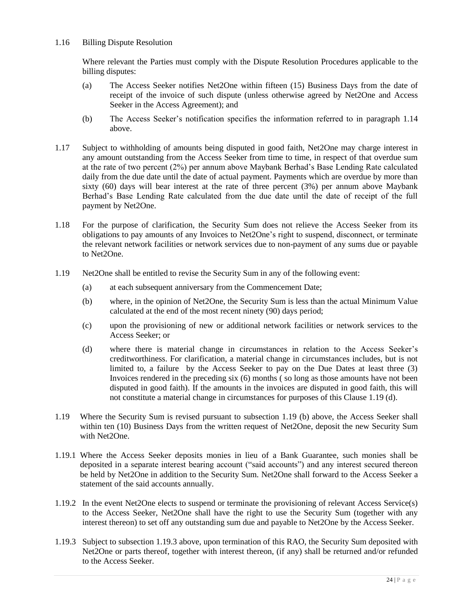## 1.16 Billing Dispute Resolution

Where relevant the Parties must comply with the Dispute Resolution Procedures applicable to the billing disputes:

- (a) The Access Seeker notifies Net2One within fifteen (15) Business Days from the date of receipt of the invoice of such dispute (unless otherwise agreed by Net2One and Access Seeker in the Access Agreement); and
- (b) The Access Seeker's notification specifies the information referred to in paragraph 1.14 above.
- 1.17 Subject to withholding of amounts being disputed in good faith, Net2One may charge interest in any amount outstanding from the Access Seeker from time to time, in respect of that overdue sum at the rate of two percent (2%) per annum above Maybank Berhad's Base Lending Rate calculated daily from the due date until the date of actual payment. Payments which are overdue by more than sixty  $(60)$  days will bear interest at the rate of three percent  $(3%)$  per annum above Maybank Berhad's Base Lending Rate calculated from the due date until the date of receipt of the full payment by Net2One.
- 1.18 For the purpose of clarification, the Security Sum does not relieve the Access Seeker from its obligations to pay amounts of any Invoices to Net2One's right to suspend, disconnect, or terminate the relevant network facilities or network services due to non-payment of any sums due or payable to Net2One.
- 1.19 Net2One shall be entitled to revise the Security Sum in any of the following event:
	- (a) at each subsequent anniversary from the Commencement Date;
	- (b) where, in the opinion of Net2One, the Security Sum is less than the actual Minimum Value calculated at the end of the most recent ninety (90) days period;
	- (c) upon the provisioning of new or additional network facilities or network services to the Access Seeker; or
	- (d) where there is material change in circumstances in relation to the Access Seeker's creditworthiness. For clarification, a material change in circumstances includes, but is not limited to, a failure by the Access Seeker to pay on the Due Dates at least three (3) Invoices rendered in the preceding six (6) months ( so long as those amounts have not been disputed in good faith). If the amounts in the invoices are disputed in good faith, this will not constitute a material change in circumstances for purposes of this Clause 1.19 (d).
- 1.19 Where the Security Sum is revised pursuant to subsection 1.19 (b) above, the Access Seeker shall within ten (10) Business Days from the written request of Net2One, deposit the new Security Sum with Net2One.
- 1.19.1 Where the Access Seeker deposits monies in lieu of a Bank Guarantee, such monies shall be deposited in a separate interest bearing account ("said accounts") and any interest secured thereon be held by Net2One in addition to the Security Sum. Net2One shall forward to the Access Seeker a statement of the said accounts annually.
- 1.19.2 In the event Net2One elects to suspend or terminate the provisioning of relevant Access Service(s) to the Access Seeker, Net2One shall have the right to use the Security Sum (together with any interest thereon) to set off any outstanding sum due and payable to Net2One by the Access Seeker.
- 1.19.3 Subject to subsection 1.19.3 above, upon termination of this RAO, the Security Sum deposited with Net2One or parts thereof, together with interest thereon, (if any) shall be returned and/or refunded to the Access Seeker.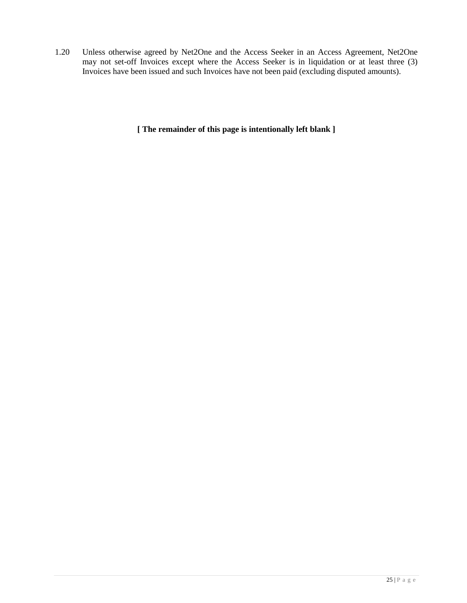1.20 Unless otherwise agreed by Net2One and the Access Seeker in an Access Agreement, Net2One may not set-off Invoices except where the Access Seeker is in liquidation or at least three (3) Invoices have been issued and such Invoices have not been paid (excluding disputed amounts).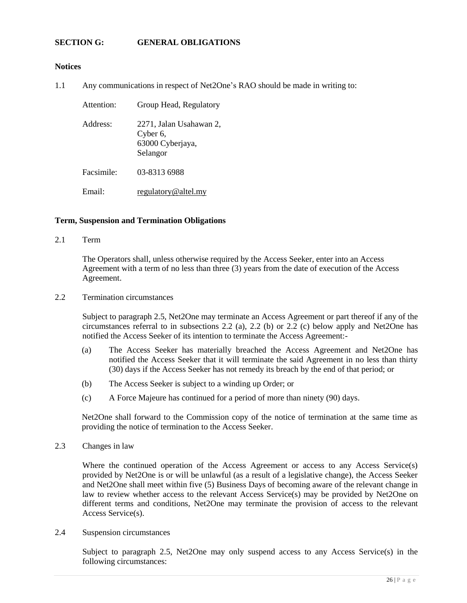#### **SECTION G: GENERAL OBLIGATIONS**

#### **Notices**

1.1 Any communications in respect of Net2One's RAO should be made in writing to:

| Attention:             | Group Head, Regulatory                                              |
|------------------------|---------------------------------------------------------------------|
| Address:               | 2271, Jalan Usahawan 2,<br>Cyber 6,<br>63000 Cyberjaya,<br>Selangor |
| Facsimile <sup>.</sup> | 03-8313 6988                                                        |
| Email:                 | regulatory@altel.my                                                 |

#### **Term, Suspension and Termination Obligations**

2.1 Term

The Operators shall, unless otherwise required by the Access Seeker, enter into an Access Agreement with a term of no less than three (3) years from the date of execution of the Access Agreement.

2.2 Termination circumstances

Subject to paragraph 2.5, Net2One may terminate an Access Agreement or part thereof if any of the circumstances referral to in subsections 2.2 (a), 2.2 (b) or 2.2 (c) below apply and Net2One has notified the Access Seeker of its intention to terminate the Access Agreement:-

- (a) The Access Seeker has materially breached the Access Agreement and Net2One has notified the Access Seeker that it will terminate the said Agreement in no less than thirty (30) days if the Access Seeker has not remedy its breach by the end of that period; or
- (b) The Access Seeker is subject to a winding up Order; or
- (c) A Force Majeure has continued for a period of more than ninety (90) days.

Net2One shall forward to the Commission copy of the notice of termination at the same time as providing the notice of termination to the Access Seeker.

2.3 Changes in law

Where the continued operation of the Access Agreement or access to any Access Service(s) provided by Net2One is or will be unlawful (as a result of a legislative change), the Access Seeker and Net2One shall meet within five (5) Business Days of becoming aware of the relevant change in law to review whether access to the relevant Access Service(s) may be provided by Net2One on different terms and conditions, Net2One may terminate the provision of access to the relevant Access Service(s).

2.4 Suspension circumstances

Subject to paragraph 2.5, Net2One may only suspend access to any Access Service(s) in the following circumstances: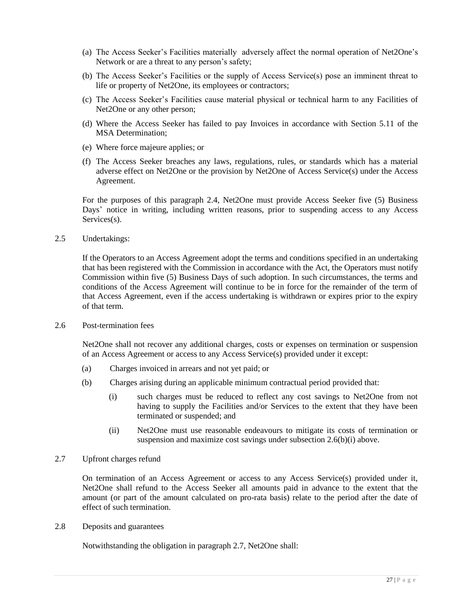- (a) The Access Seeker's Facilities materially adversely affect the normal operation of Net2One's Network or are a threat to any person's safety;
- (b) The Access Seeker's Facilities or the supply of Access Service(s) pose an imminent threat to life or property of Net2One, its employees or contractors;
- (c) The Access Seeker's Facilities cause material physical or technical harm to any Facilities of Net2One or any other person;
- (d) Where the Access Seeker has failed to pay Invoices in accordance with Section 5.11 of the MSA Determination;
- (e) Where force majeure applies; or
- (f) The Access Seeker breaches any laws, regulations, rules, or standards which has a material adverse effect on Net2One or the provision by Net2One of Access Service(s) under the Access Agreement.

For the purposes of this paragraph 2.4, Net2One must provide Access Seeker five (5) Business Days' notice in writing, including written reasons, prior to suspending access to any Access Services(s).

2.5 Undertakings:

If the Operators to an Access Agreement adopt the terms and conditions specified in an undertaking that has been registered with the Commission in accordance with the Act, the Operators must notify Commission within five (5) Business Days of such adoption. In such circumstances, the terms and conditions of the Access Agreement will continue to be in force for the remainder of the term of that Access Agreement, even if the access undertaking is withdrawn or expires prior to the expiry of that term.

2.6 Post-termination fees

Net2One shall not recover any additional charges, costs or expenses on termination or suspension of an Access Agreement or access to any Access Service(s) provided under it except:

- (a) Charges invoiced in arrears and not yet paid; or
- (b) Charges arising during an applicable minimum contractual period provided that:
	- (i) such charges must be reduced to reflect any cost savings to Net2One from not having to supply the Facilities and/or Services to the extent that they have been terminated or suspended; and
	- (ii) Net2One must use reasonable endeavours to mitigate its costs of termination or suspension and maximize cost savings under subsection 2.6(b)(i) above.
- 2.7 Upfront charges refund

On termination of an Access Agreement or access to any Access Service(s) provided under it, Net2One shall refund to the Access Seeker all amounts paid in advance to the extent that the amount (or part of the amount calculated on pro-rata basis) relate to the period after the date of effect of such termination.

2.8 Deposits and guarantees

Notwithstanding the obligation in paragraph 2.7, Net2One shall: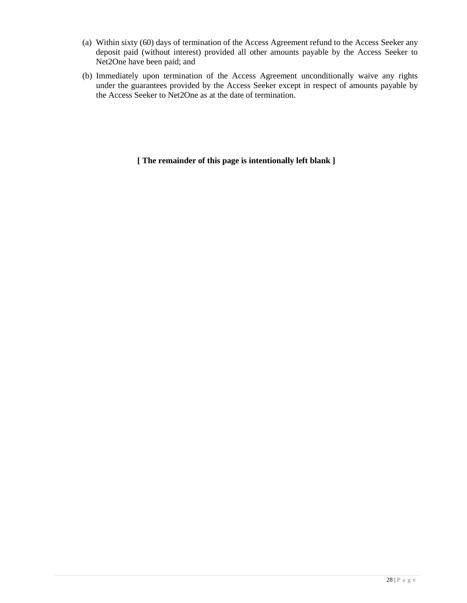- (a) Within sixty (60) days of termination of the Access Agreement refund to the Access Seeker any deposit paid (without interest) provided all other amounts payable by the Access Seeker to Net2One have been paid; and
- (b) Immediately upon termination of the Access Agreement unconditionally waive any rights under the guarantees provided by the Access Seeker except in respect of amounts payable by the Access Seeker to Net2One as at the date of termination.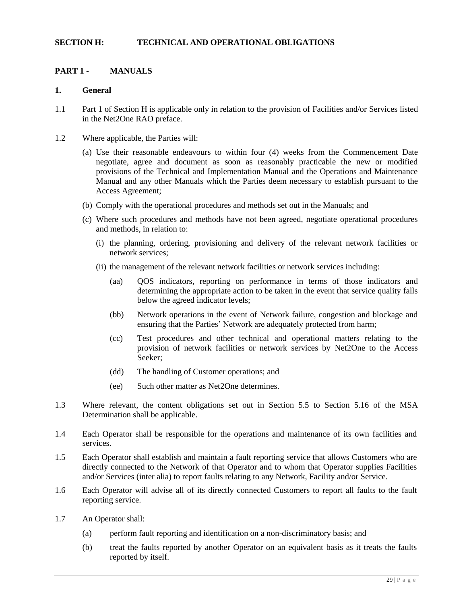#### **SECTION H: TECHNICAL AND OPERATIONAL OBLIGATIONS**

## **PART 1 - MANUALS**

#### **1. General**

- 1.1 Part 1 of Section H is applicable only in relation to the provision of Facilities and/or Services listed in the Net2One RAO preface.
- 1.2 Where applicable, the Parties will:
	- (a) Use their reasonable endeavours to within four (4) weeks from the Commencement Date negotiate, agree and document as soon as reasonably practicable the new or modified provisions of the Technical and Implementation Manual and the Operations and Maintenance Manual and any other Manuals which the Parties deem necessary to establish pursuant to the Access Agreement;
	- (b) Comply with the operational procedures and methods set out in the Manuals; and
	- (c) Where such procedures and methods have not been agreed, negotiate operational procedures and methods, in relation to:
		- (i) the planning, ordering, provisioning and delivery of the relevant network facilities or network services;
		- (ii) the management of the relevant network facilities or network services including:
			- (aa) QOS indicators, reporting on performance in terms of those indicators and determining the appropriate action to be taken in the event that service quality falls below the agreed indicator levels;
			- (bb) Network operations in the event of Network failure, congestion and blockage and ensuring that the Parties' Network are adequately protected from harm;
			- (cc) Test procedures and other technical and operational matters relating to the provision of network facilities or network services by Net2One to the Access Seeker;
			- (dd) The handling of Customer operations; and
			- (ee) Such other matter as Net2One determines.
- 1.3 Where relevant, the content obligations set out in Section 5.5 to Section 5.16 of the MSA Determination shall be applicable.
- 1.4 Each Operator shall be responsible for the operations and maintenance of its own facilities and services.
- 1.5 Each Operator shall establish and maintain a fault reporting service that allows Customers who are directly connected to the Network of that Operator and to whom that Operator supplies Facilities and/or Services (inter alia) to report faults relating to any Network, Facility and/or Service.
- 1.6 Each Operator will advise all of its directly connected Customers to report all faults to the fault reporting service.
- 1.7 An Operator shall:
	- (a) perform fault reporting and identification on a non-discriminatory basis; and
	- (b) treat the faults reported by another Operator on an equivalent basis as it treats the faults reported by itself.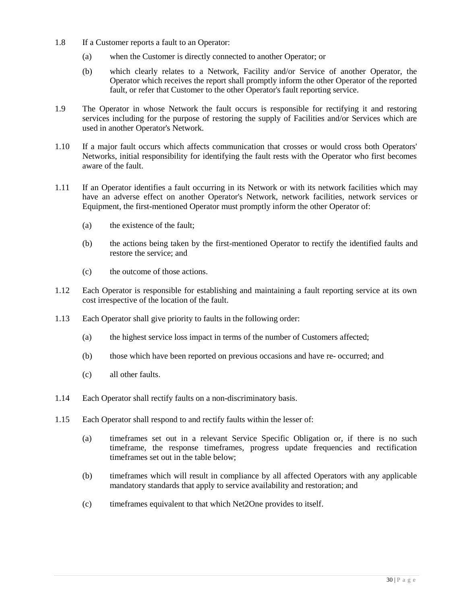- 1.8 If a Customer reports a fault to an Operator:
	- (a) when the Customer is directly connected to another Operator; or
	- (b) which clearly relates to a Network, Facility and/or Service of another Operator, the Operator which receives the report shall promptly inform the other Operator of the reported fault, or refer that Customer to the other Operator's fault reporting service.
- 1.9 The Operator in whose Network the fault occurs is responsible for rectifying it and restoring services including for the purpose of restoring the supply of Facilities and/or Services which are used in another Operator's Network.
- 1.10 If a major fault occurs which affects communication that crosses or would cross both Operators' Networks, initial responsibility for identifying the fault rests with the Operator who first becomes aware of the fault.
- 1.11 If an Operator identifies a fault occurring in its Network or with its network facilities which may have an adverse effect on another Operator's Network, network facilities, network services or Equipment, the first-mentioned Operator must promptly inform the other Operator of:
	- (a) the existence of the fault;
	- (b) the actions being taken by the first-mentioned Operator to rectify the identified faults and restore the service; and
	- (c) the outcome of those actions.
- 1.12 Each Operator is responsible for establishing and maintaining a fault reporting service at its own cost irrespective of the location of the fault.
- 1.13 Each Operator shall give priority to faults in the following order:
	- (a) the highest service loss impact in terms of the number of Customers affected;
	- (b) those which have been reported on previous occasions and have re- occurred; and
	- (c) all other faults.
- 1.14 Each Operator shall rectify faults on a non-discriminatory basis.
- 1.15 Each Operator shall respond to and rectify faults within the lesser of:
	- (a) timeframes set out in a relevant Service Specific Obligation or, if there is no such timeframe, the response timeframes, progress update frequencies and rectification timeframes set out in the table below;
	- (b) timeframes which will result in compliance by all affected Operators with any applicable mandatory standards that apply to service availability and restoration; and
	- (c) timeframes equivalent to that which Net2One provides to itself.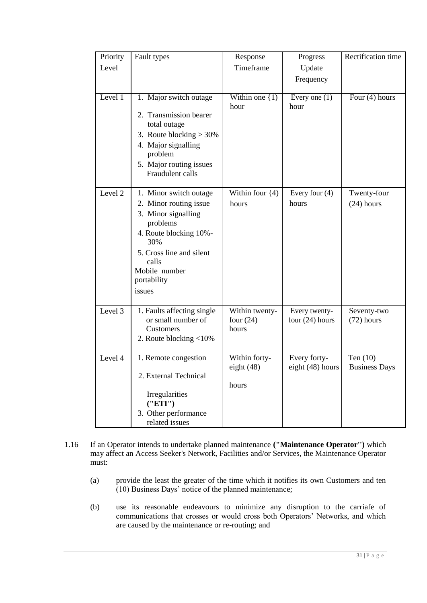| Priority | Fault types                                 | Response                      | Progress                         | Rectification time                 |
|----------|---------------------------------------------|-------------------------------|----------------------------------|------------------------------------|
| Level    |                                             | Timeframe                     | Update                           |                                    |
|          |                                             |                               | Frequency                        |                                    |
| Level 1  | 1. Major switch outage                      | Within one $\{1\}$            | Every one $(1)$                  | Four $(4)$ hours                   |
|          |                                             | hour                          | hour                             |                                    |
|          | 2. Transmission bearer<br>total outage      |                               |                                  |                                    |
|          | 3. Route blocking $> 30\%$                  |                               |                                  |                                    |
|          | 4. Major signalling<br>problem              |                               |                                  |                                    |
|          | 5. Major routing issues<br>Fraudulent calls |                               |                                  |                                    |
| Level 2  | 1. Minor switch outage                      | Within four $\{4)$            | Every four $(4)$                 | Twenty-four                        |
|          | 2. Minor routing issue                      | hours                         | hours                            | $(24)$ hours                       |
|          | 3. Minor signalling                         |                               |                                  |                                    |
|          | problems                                    |                               |                                  |                                    |
|          | 4. Route blocking 10%-<br>30%               |                               |                                  |                                    |
|          | 5. Cross line and silent                    |                               |                                  |                                    |
|          | calls                                       |                               |                                  |                                    |
|          | Mobile number<br>portability                |                               |                                  |                                    |
|          | issues                                      |                               |                                  |                                    |
|          |                                             |                               |                                  |                                    |
| Level 3  | 1. Faults affecting single                  | Within twenty-                | Every twenty-                    | Seventy-two                        |
|          | or small number of<br>Customers             | four $(24)$<br>hours          | four $(24)$ hours                | $(72)$ hours                       |
|          | 2. Route blocking <10%                      |                               |                                  |                                    |
|          |                                             |                               |                                  |                                    |
| Level 4  | 1. Remote congestion                        | Within forty-<br>eight $(48)$ | Every forty-<br>eight (48) hours | Ten $(10)$<br><b>Business Days</b> |
|          | 2. External Technical                       |                               |                                  |                                    |
|          |                                             | hours                         |                                  |                                    |
|          | Irregularities<br>(''ETI')                  |                               |                                  |                                    |
|          | 3. Other performance                        |                               |                                  |                                    |
|          | related issues                              |                               |                                  |                                    |

- 1.16 If an Operator intends to undertake planned maintenance **("Maintenance Operator'')** which may affect an Access Seeker's Network, Facilities and/or Services, the Maintenance Operator must:
	- (a) provide the least the greater of the time which it notifies its own Customers and ten (10) Business Days' notice of the planned maintenance;
	- (b) use its reasonable endeavours to minimize any disruption to the carriafe of communications that crosses or would cross both Operators' Networks, and which are caused by the maintenance or re-routing; and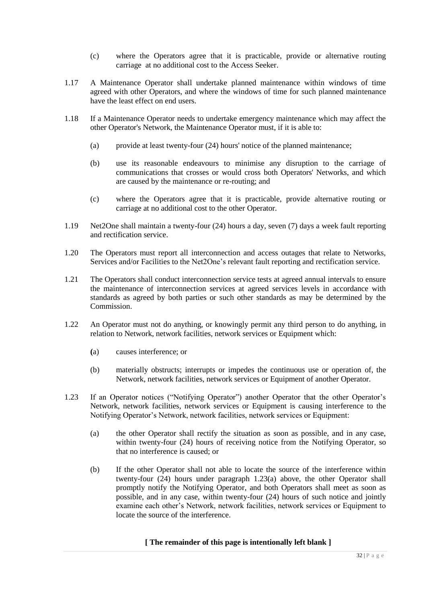- (c) where the Operators agree that it is practicable, provide or alternative routing carriage at no additional cost to the Access Seeker.
- 1.17 A Maintenance Operator shall undertake planned maintenance within windows of time agreed with other Operators, and where the windows of time for such planned maintenance have the least effect on end users.
- 1.18 If a Maintenance Operator needs to undertake emergency maintenance which may affect the other Operator's Network, the Maintenance Operator must, if it is able to:
	- (a) provide at least twenty-four (24) hours' notice of the planned maintenance;
	- (b) use its reasonable endeavours to minimise any disruption to the carriage of communications that crosses or would cross both Operators' Networks, and which are caused by the maintenance or re-routing; and
	- (c) where the Operators agree that it is practicable, provide alternative routing or carriage at no additional cost to the other Operator.
- 1.19 Net2One shall maintain a twenty-four (24) hours a day, seven (7) days a week fault reporting and rectification service.
- 1.20 The Operators must report all interconnection and access outages that relate to Networks, Services and/or Facilities to the Net2One's relevant fault reporting and rectification service.
- 1.21 The Operators shall conduct interconnection service tests at agreed annual intervals to ensure the maintenance of interconnection services at agreed services levels in accordance with standards as agreed by both parties or such other standards as may be determined by the Commission.
- 1.22 An Operator must not do anything, or knowingly permit any third person to do anything, in relation to Network, network facilities, network services or Equipment which:
	- **(**a) causes interference; or
	- (b) materially obstructs; interrupts or impedes the continuous use or operation of, the Network, network facilities, network services or Equipment of another Operator.
- 1.23 If an Operator notices ("Notifying Operator") another Operator that the other Operator's Network, network facilities, network services or Equipment is causing interference to the Notifying Operator's Network, network facilities, network services or Equipment:
	- (a) the other Operator shall rectify the situation as soon as possible, and in any case, within twenty-four (24) hours of receiving notice from the Notifying Operator, so that no interference is caused; or
	- (b) If the other Operator shall not able to locate the source of the interference within twenty-four (24) hours under paragraph 1.23(a) above, the other Operator shall promptly notify the Notifying Operator, and both Operators shall meet as soon as possible, and in any case, within twenty-four (24) hours of such notice and jointly examine each other's Network, network facilities, network services or Equipment to locate the source of the interference.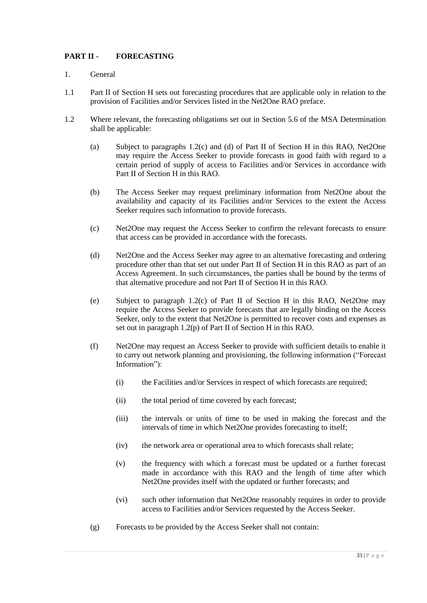# **PART II - FORECASTING**

- 1. General
- 1.1 Part II of Section H sets out forecasting procedures that are applicable only in relation to the provision of Facilities and/or Services listed in the Net2One RAO preface.
- 1.2 Where relevant, the forecasting obligations set out in Section 5.6 of the MSA Determination shall be applicable:
	- (a) Subject to paragraphs 1.2(c) and (d) of Part II of Section H in this RAO, Net2One may require the Access Seeker to provide forecasts in good faith with regard to a certain period of supply of access to Facilities and/or Services in accordance with Part II of Section H in this RAO.
	- (b) The Access Seeker may request preliminary information from Net2One about the availability and capacity of its Facilities and/or Services to the extent the Access Seeker requires such information to provide forecasts.
	- (c) Net2One may request the Access Seeker to confirm the relevant forecasts to ensure that access can be provided in accordance with the forecasts.
	- (d) Net2One and the Access Seeker may agree to an alternative forecasting and ordering procedure other than that set out under Part II of Section H in this RAO as part of an Access Agreement. In such circumstances, the parties shall be bound by the terms of that alternative procedure and not Part II of Section H in this RAO.
	- (e) Subject to paragraph 1.2(c) of Part II of Section H in this RAO, Net2One may require the Access Seeker to provide forecasts that are legally binding on the Access Seeker, only to the extent that Net2One is permitted to recover costs and expenses as set out in paragraph 1.2(p) of Part II of Section H in this RAO.
	- (f) Net2One may request an Access Seeker to provide with sufficient details to enable it to carry out network planning and provisioning, the following information ("Forecast Information"):
		- (i) the Facilities and/or Services in respect of which forecasts are required;
		- (ii) the total period of time covered by each forecast;
		- (iii) the intervals or units of time to be used in making the forecast and the intervals of time in which Net2One provides forecasting to itself;
		- (iv) the network area or operational area to which forecasts shall relate;
		- (v) the frequency with which a forecast must be updated or a further forecast made in accordance with this RAO and the length of time after which Net2One provides itself with the updated or further forecasts; and
		- (vi) such other information that Net2One reasonably requires in order to provide access to Facilities and/or Services requested by the Access Seeker.
	- (g) Forecasts to be provided by the Access Seeker shall not contain: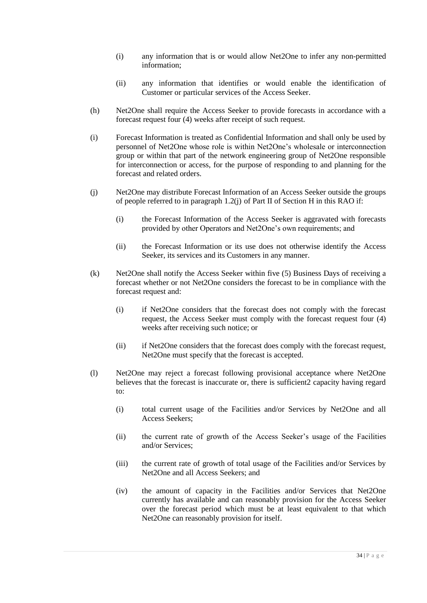- (i) any information that is or would allow Net2One to infer any non-permitted information;
- (ii) any information that identifies or would enable the identification of Customer or particular services of the Access Seeker.
- (h) Net2One shall require the Access Seeker to provide forecasts in accordance with a forecast request four (4) weeks after receipt of such request.
- (i) Forecast Information is treated as Confidential Information and shall only be used by personnel of Net2One whose role is within Net2One's wholesale or interconnection group or within that part of the network engineering group of Net2One responsible for interconnection or access, for the purpose of responding to and planning for the forecast and related orders.
- (j) Net2One may distribute Forecast Information of an Access Seeker outside the groups of people referred to in paragraph 1.2(j) of Part II of Section H in this RAO if:
	- (i) the Forecast Information of the Access Seeker is aggravated with forecasts provided by other Operators and Net2One's own requirements; and
	- (ii) the Forecast Information or its use does not otherwise identify the Access Seeker, its services and its Customers in any manner.
- (k) Net2One shall notify the Access Seeker within five (5) Business Days of receiving a forecast whether or not Net2One considers the forecast to be in compliance with the forecast request and:
	- (i) if Net2One considers that the forecast does not comply with the forecast request, the Access Seeker must comply with the forecast request four (4) weeks after receiving such notice; or
	- (ii) if Net2One considers that the forecast does comply with the forecast request, Net2One must specify that the forecast is accepted.
- (l) Net2One may reject a forecast following provisional acceptance where Net2One believes that the forecast is inaccurate or, there is sufficient2 capacity having regard to:
	- (i) total current usage of the Facilities and/or Services by Net2One and all Access Seekers;
	- (ii) the current rate of growth of the Access Seeker's usage of the Facilities and/or Services;
	- (iii) the current rate of growth of total usage of the Facilities and/or Services by Net2One and all Access Seekers; and
	- (iv) the amount of capacity in the Facilities and/or Services that Net2One currently has available and can reasonably provision for the Access Seeker over the forecast period which must be at least equivalent to that which Net2One can reasonably provision for itself.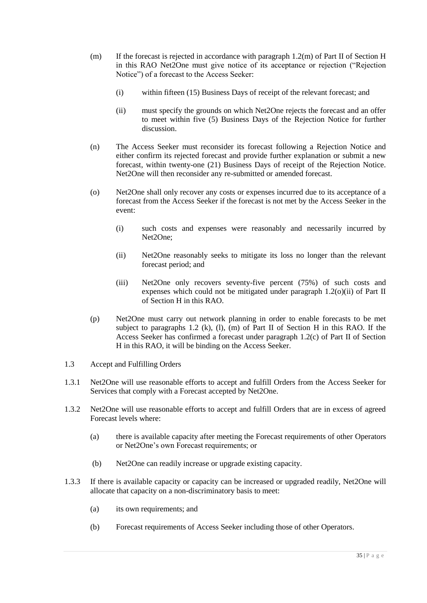- (m) If the forecast is rejected in accordance with paragraph  $1.2(m)$  of Part II of Section H in this RAO Net2One must give notice of its acceptance or rejection ("Rejection Notice") of a forecast to the Access Seeker:
	- (i) within fifteen (15) Business Days of receipt of the relevant forecast; and
	- (ii) must specify the grounds on which Net2One rejects the forecast and an offer to meet within five (5) Business Days of the Rejection Notice for further discussion.
- (n) The Access Seeker must reconsider its forecast following a Rejection Notice and either confirm its rejected forecast and provide further explanation or submit a new forecast, within twenty-one (21) Business Days of receipt of the Rejection Notice. Net2One will then reconsider any re-submitted or amended forecast.
- (o) Net2One shall only recover any costs or expenses incurred due to its acceptance of a forecast from the Access Seeker if the forecast is not met by the Access Seeker in the event:
	- (i) such costs and expenses were reasonably and necessarily incurred by Net2One;
	- (ii) Net2One reasonably seeks to mitigate its loss no longer than the relevant forecast period; and
	- (iii) Net2One only recovers seventy-five percent (75%) of such costs and expenses which could not be mitigated under paragraph 1.2(o)(ii) of Part II of Section H in this RAO.
- (p) Net2One must carry out network planning in order to enable forecasts to be met subject to paragraphs 1.2 (k), (l), (m) of Part II of Section H in this RAO. If the Access Seeker has confirmed a forecast under paragraph 1.2(c) of Part II of Section H in this RAO, it will be binding on the Access Seeker.
- 1.3 Accept and Fulfilling Orders
- 1.3.1 Net2One will use reasonable efforts to accept and fulfill Orders from the Access Seeker for Services that comply with a Forecast accepted by Net2One.
- 1.3.2 Net2One will use reasonable efforts to accept and fulfill Orders that are in excess of agreed Forecast levels where:
	- (a) there is available capacity after meeting the Forecast requirements of other Operators or Net2One's own Forecast requirements; or
	- (b) Net2One can readily increase or upgrade existing capacity.
- 1.3.3 If there is available capacity or capacity can be increased or upgraded readily, Net2One will allocate that capacity on a non-discriminatory basis to meet:
	- (a) its own requirements; and
	- (b) Forecast requirements of Access Seeker including those of other Operators.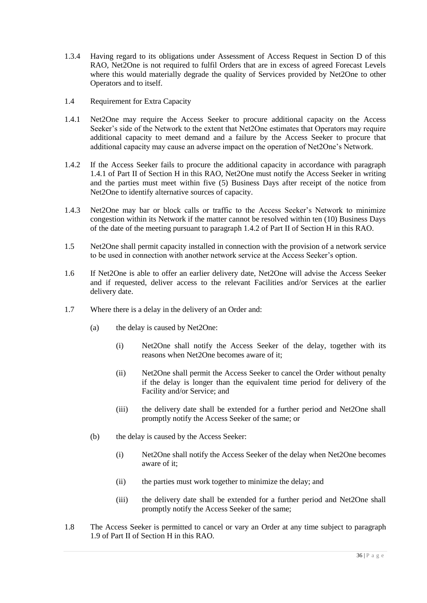- 1.3.4 Having regard to its obligations under Assessment of Access Request in Section D of this RAO, Net2One is not required to fulfil Orders that are in excess of agreed Forecast Levels where this would materially degrade the quality of Services provided by Net2One to other Operators and to itself.
- 1.4 Requirement for Extra Capacity
- 1.4.1 Net2One may require the Access Seeker to procure additional capacity on the Access Seeker's side of the Network to the extent that Net2One estimates that Operators may require additional capacity to meet demand and a failure by the Access Seeker to procure that additional capacity may cause an adverse impact on the operation of Net2One's Network.
- 1.4.2 If the Access Seeker fails to procure the additional capacity in accordance with paragraph 1.4.1 of Part II of Section H in this RAO, Net2One must notify the Access Seeker in writing and the parties must meet within five (5) Business Days after receipt of the notice from Net2One to identify alternative sources of capacity.
- 1.4.3 Net2One may bar or block calls or traffic to the Access Seeker's Network to minimize congestion within its Network if the matter cannot be resolved within ten (10) Business Days of the date of the meeting pursuant to paragraph 1.4.2 of Part II of Section H in this RAO.
- 1.5 Net2One shall permit capacity installed in connection with the provision of a network service to be used in connection with another network service at the Access Seeker's option.
- 1.6 If Net2One is able to offer an earlier delivery date, Net2One will advise the Access Seeker and if requested, deliver access to the relevant Facilities and/or Services at the earlier delivery date.
- 1.7 Where there is a delay in the delivery of an Order and:
	- (a) the delay is caused by Net2One:
		- (i) Net2One shall notify the Access Seeker of the delay, together with its reasons when Net2One becomes aware of it;
		- (ii) Net2One shall permit the Access Seeker to cancel the Order without penalty if the delay is longer than the equivalent time period for delivery of the Facility and/or Service; and
		- (iii) the delivery date shall be extended for a further period and Net2One shall promptly notify the Access Seeker of the same; or
	- (b) the delay is caused by the Access Seeker:
		- (i) Net2One shall notify the Access Seeker of the delay when Net2One becomes aware of it;
		- (ii) the parties must work together to minimize the delay; and
		- (iii) the delivery date shall be extended for a further period and Net2One shall promptly notify the Access Seeker of the same;
- 1.8 The Access Seeker is permitted to cancel or vary an Order at any time subject to paragraph 1.9 of Part II of Section H in this RAO.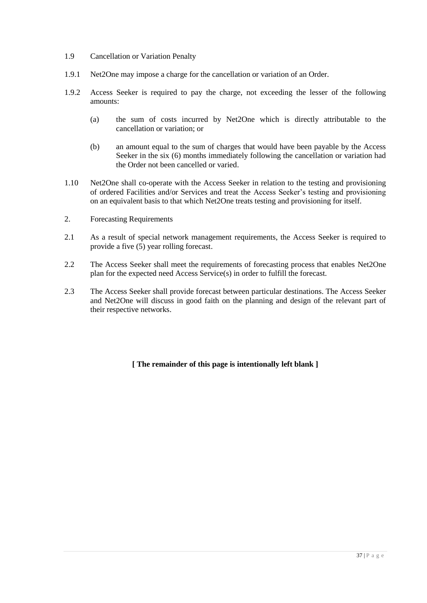- 1.9 Cancellation or Variation Penalty
- 1.9.1 Net2One may impose a charge for the cancellation or variation of an Order.
- 1.9.2 Access Seeker is required to pay the charge, not exceeding the lesser of the following amounts:
	- (a) the sum of costs incurred by Net2One which is directly attributable to the cancellation or variation; or
	- (b) an amount equal to the sum of charges that would have been payable by the Access Seeker in the six (6) months immediately following the cancellation or variation had the Order not been cancelled or varied.
- 1.10 Net2One shall co-operate with the Access Seeker in relation to the testing and provisioning of ordered Facilities and/or Services and treat the Access Seeker's testing and provisioning on an equivalent basis to that which Net2One treats testing and provisioning for itself.
- 2. Forecasting Requirements
- 2.1 As a result of special network management requirements, the Access Seeker is required to provide a five (5) year rolling forecast.
- 2.2 The Access Seeker shall meet the requirements of forecasting process that enables Net2One plan for the expected need Access Service(s) in order to fulfill the forecast.
- 2.3 The Access Seeker shall provide forecast between particular destinations. The Access Seeker and Net2One will discuss in good faith on the planning and design of the relevant part of their respective networks.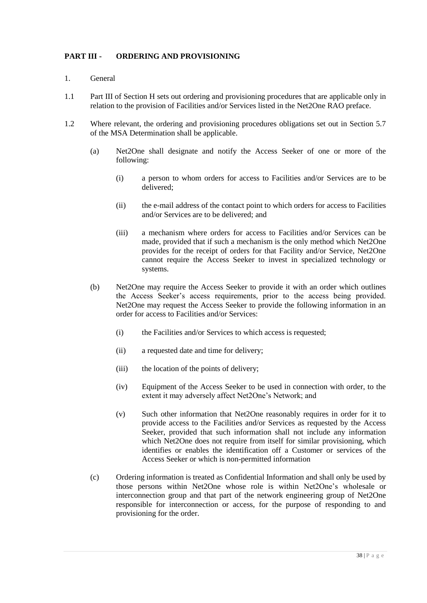## **PART III - ORDERING AND PROVISIONING**

- 1. General
- 1.1 Part III of Section H sets out ordering and provisioning procedures that are applicable only in relation to the provision of Facilities and/or Services listed in the Net2One RAO preface.
- 1.2 Where relevant, the ordering and provisioning procedures obligations set out in Section 5.7 of the MSA Determination shall be applicable.
	- (a) Net2One shall designate and notify the Access Seeker of one or more of the following:
		- (i) a person to whom orders for access to Facilities and/or Services are to be delivered;
		- (ii) the e-mail address of the contact point to which orders for access to Facilities and/or Services are to be delivered; and
		- (iii) a mechanism where orders for access to Facilities and/or Services can be made, provided that if such a mechanism is the only method which Net2One provides for the receipt of orders for that Facility and/or Service, Net2One cannot require the Access Seeker to invest in specialized technology or systems.
	- (b) Net2One may require the Access Seeker to provide it with an order which outlines the Access Seeker's access requirements, prior to the access being provided. Net2One may request the Access Seeker to provide the following information in an order for access to Facilities and/or Services:
		- (i) the Facilities and/or Services to which access is requested;
		- (ii) a requested date and time for delivery;
		- (iii) the location of the points of delivery;
		- (iv) Equipment of the Access Seeker to be used in connection with order, to the extent it may adversely affect Net2One's Network; and
		- (v) Such other information that Net2One reasonably requires in order for it to provide access to the Facilities and/or Services as requested by the Access Seeker, provided that such information shall not include any information which Net2One does not require from itself for similar provisioning, which identifies or enables the identification off a Customer or services of the Access Seeker or which is non-permitted information
	- (c) Ordering information is treated as Confidential Information and shall only be used by those persons within Net2One whose role is within Net2One's wholesale or interconnection group and that part of the network engineering group of Net2One responsible for interconnection or access, for the purpose of responding to and provisioning for the order.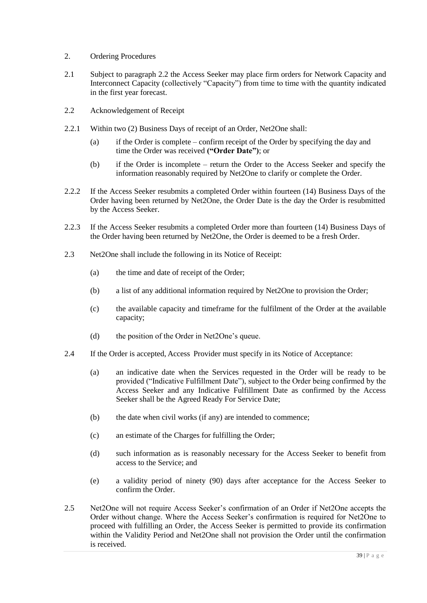- 2. Ordering Procedures
- 2.1 Subject to paragraph 2.2 the Access Seeker may place firm orders for Network Capacity and Interconnect Capacity (collectively "Capacity") from time to time with the quantity indicated in the first year forecast.
- 2.2 Acknowledgement of Receipt
- 2.2.1 Within two (2) Business Days of receipt of an Order, Net2One shall:
	- (a) if the Order is complete confirm receipt of the Order by specifying the day and time the Order was received **("Order Date")**; or
	- (b) if the Order is incomplete return the Order to the Access Seeker and specify the information reasonably required by Net2One to clarify or complete the Order.
- 2.2.2 If the Access Seeker resubmits a completed Order within fourteen (14) Business Days of the Order having been returned by Net2One, the Order Date is the day the Order is resubmitted by the Access Seeker.
- 2.2.3 If the Access Seeker resubmits a completed Order more than fourteen (14) Business Days of the Order having been returned by Net2One, the Order is deemed to be a fresh Order.
- 2.3 Net2One shall include the following in its Notice of Receipt:
	- (a) the time and date of receipt of the Order;
	- (b) a list of any additional information required by Net2One to provision the Order;
	- (c) the available capacity and timeframe for the fulfilment of the Order at the available capacity;
	- (d) the position of the Order in Net2One's queue.
- 2.4 If the Order is accepted, Access Provider must specify in its Notice of Acceptance:
	- (a) an indicative date when the Services requested in the Order will be ready to be provided ("Indicative Fulfillment Date"), subject to the Order being confirmed by the Access Seeker and any Indicative Fulfillment Date as confirmed by the Access Seeker shall be the Agreed Ready For Service Date;
	- (b) the date when civil works (if any) are intended to commence;
	- (c) an estimate of the Charges for fulfilling the Order;
	- (d) such information as is reasonably necessary for the Access Seeker to benefit from access to the Service; and
	- (e) a validity period of ninety (90) days after acceptance for the Access Seeker to confirm the Order.
- 2.5 Net2One will not require Access Seeker's confirmation of an Order if Net2One accepts the Order without change. Where the Access Seeker's confirmation is required for Net2One to proceed with fulfilling an Order, the Access Seeker is permitted to provide its confirmation within the Validity Period and Net2One shall not provision the Order until the confirmation is received.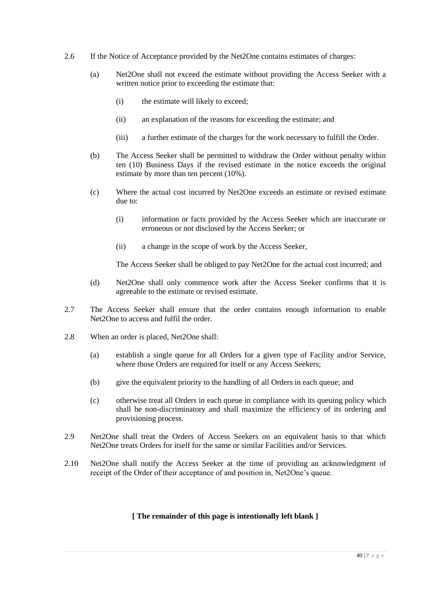- 2.6 If the Notice of Acceptance provided by the Net2One contains estimates of charges:
	- (a) Net2One shall not exceed the estimate without providing the Access Seeker with a written notice prior to exceeding the estimate that:
		- (i) the estimate will likely to exceed;
		- (ii) an explanation of the reasons for exceeding the estimate; and
		- (iii) a further estimate of the charges for the work necessary to fulfill the Order.
	- (b) The Access Seeker shall be permitted to withdraw the Order without penalty within ten (10) Business Days if the revised estimate in the notice exceeds the original estimate by more than ten percent (10%).
	- (c) Where the actual cost incurred by Net2One exceeds an estimate or revised estimate due to:
		- (i) information or facts provided by the Access Seeker which are inaccurate or erroneous or not disclosed by the Access Seeker; or
		- (ii) a change in the scope of work by the Access Seeker,

The Access Seeker shall be obliged to pay Net2One for the actual cost incurred; and

- (d) Net2One shall only commence work after the Access Seeker confirms that it is agreeable to the estimate or revised estimate.
- 2.7 The Access Seeker shall ensure that the order contains enough information to enable Net2One to access and fulfil the order.
- 2.8 When an order is placed, Net2One shall:
	- (a) establish a single queue for all Orders for a given type of Facility and/or Service, where those Orders are required for itself or any Access Seekers;
	- (b) give the equivalent priority to the handling of all Orders in each queue; and
	- (c) otherwise treat all Orders in each queue in compliance with its queuing policy which shall be non-discriminatory and shall maximize the efficiency of its ordering and provisioning process.
- 2.9 Net2One shall treat the Orders of Access Seekers on an equivalent basis to that which Net2One treats Orders for itself for the same or similar Facilities and/or Services.
- 2.10 Net2One shall notify the Access Seeker at the time of providing an acknowledgment of receipt of the Order of their acceptance of and position in, Net2One's queue.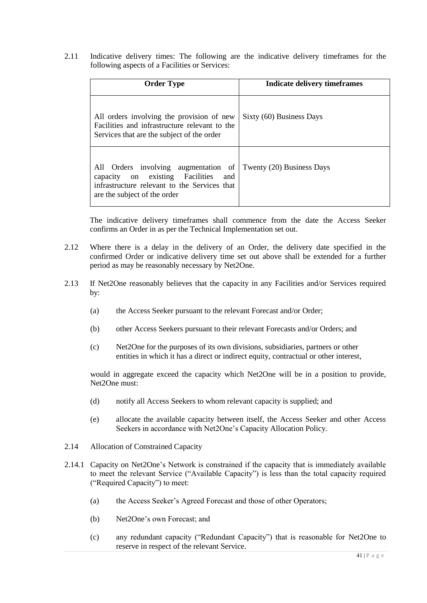2.11 Indicative delivery times: The following are the indicative delivery timeframes for the following aspects of a Facilities or Services:

| <b>Order Type</b>                                                                                                                                              | Indicate delivery time frames |  |
|----------------------------------------------------------------------------------------------------------------------------------------------------------------|-------------------------------|--|
| All orders involving the provision of new<br>Facilities and infrastructure relevant to the<br>Services that are the subject of the order                       | Sixty (60) Business Days      |  |
| All Orders involving augmentation of<br>capacity on existing Facilities<br>and<br>infrastructure relevant to the Services that<br>are the subject of the order | Twenty (20) Business Days     |  |

The indicative delivery timeframes shall commence from the date the Access Seeker confirms an Order in as per the Technical Implementation set out.

- 2.12 Where there is a delay in the delivery of an Order, the delivery date specified in the confirmed Order or indicative delivery time set out above shall be extended for a further period as may be reasonably necessary by Net2One.
- 2.13 If Net2One reasonably believes that the capacity in any Facilities and/or Services required by:
	- (a) the Access Seeker pursuant to the relevant Forecast and/or Order;
	- (b) other Access Seekers pursuant to their relevant Forecasts and/or Orders; and
	- (c) Net2One for the purposes of its own divisions, subsidiaries, partners or other entities in which it has a direct or indirect equity, contractual or other interest,

would in aggregate exceed the capacity which Net2One will be in a position to provide, Net2One must:

- (d) notify all Access Seekers to whom relevant capacity is supplied; and
- (e) allocate the available capacity between itself, the Access Seeker and other Access Seekers in accordance with Net2One's Capacity Allocation Policy.
- 2.14 Allocation of Constrained Capacity
- 2.14.1 Capacity on Net2One's Network is constrained if the capacity that is immediately available to meet the relevant Service ("Available Capacity") is less than the total capacity required ("Required Capacity") to meet:
	- (a) the Access Seeker's Agreed Forecast and those of other Operators;
	- (b) Net2One's own Forecast; and
	- (c) any redundant capacity ("Redundant Capacity") that is reasonable for Net2One to reserve in respect of the relevant Service.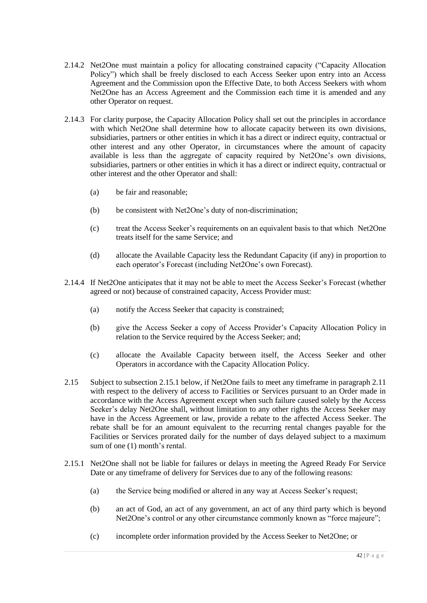- 2.14.2 Net2One must maintain a policy for allocating constrained capacity ("Capacity Allocation Policy") which shall be freely disclosed to each Access Seeker upon entry into an Access Agreement and the Commission upon the Effective Date, to both Access Seekers with whom Net2One has an Access Agreement and the Commission each time it is amended and any other Operator on request.
- 2.14.3 For clarity purpose, the Capacity Allocation Policy shall set out the principles in accordance with which Net2One shall determine how to allocate capacity between its own divisions, subsidiaries, partners or other entities in which it has a direct or indirect equity, contractual or other interest and any other Operator, in circumstances where the amount of capacity available is less than the aggregate of capacity required by Net2One's own divisions, subsidiaries, partners or other entities in which it has a direct or indirect equity, contractual or other interest and the other Operator and shall:
	- (a) be fair and reasonable;
	- (b) be consistent with Net2One's duty of non-discrimination;
	- (c) treat the Access Seeker's requirements on an equivalent basis to that which Net2One treats itself for the same Service; and
	- (d) allocate the Available Capacity less the Redundant Capacity (if any) in proportion to each operator's Forecast (including Net2One's own Forecast).
- 2.14.4 If Net2One anticipates that it may not be able to meet the Access Seeker's Forecast (whether agreed or not) because of constrained capacity, Access Provider must:
	- (a) notify the Access Seeker that capacity is constrained;
	- (b) give the Access Seeker a copy of Access Provider's Capacity Allocation Policy in relation to the Service required by the Access Seeker; and;
	- (c) allocate the Available Capacity between itself, the Access Seeker and other Operators in accordance with the Capacity Allocation Policy.
- 2.15 Subject to subsection 2.15.1 below, if Net2One fails to meet any timeframe in paragraph 2.11 with respect to the delivery of access to Facilities or Services pursuant to an Order made in accordance with the Access Agreement except when such failure caused solely by the Access Seeker's delay Net2One shall, without limitation to any other rights the Access Seeker may have in the Access Agreement or law, provide a rebate to the affected Access Seeker. The rebate shall be for an amount equivalent to the recurring rental changes payable for the Facilities or Services prorated daily for the number of days delayed subject to a maximum sum of one (1) month's rental.
- 2.15.1 Net2One shall not be liable for failures or delays in meeting the Agreed Ready For Service Date or any timeframe of delivery for Services due to any of the following reasons:
	- (a) the Service being modified or altered in any way at Access Seeker's request;
	- (b) an act of God, an act of any government, an act of any third party which is beyond Net2One's control or any other circumstance commonly known as "force majeure";
	- (c) incomplete order information provided by the Access Seeker to Net2One; or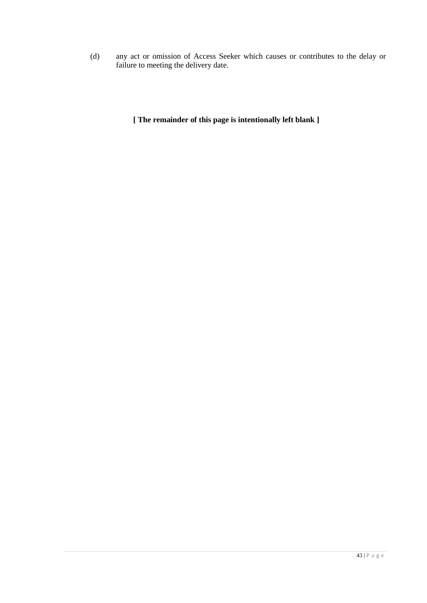(d) any act or omission of Access Seeker which causes or contributes to the delay or failure to meeting the delivery date.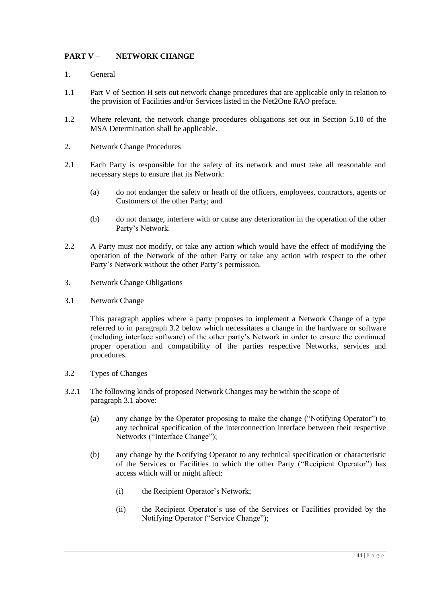# **PART V – NETWORK CHANGE**

- 1. General
- 1.1 Part V of Section H sets out network change procedures that are applicable only in relation to the provision of Facilities and/or Services listed in the Net2One RAO preface.
- 1.2 Where relevant, the network change procedures obligations set out in Section 5.10 of the MSA Determination shall be applicable.
- 2. Network Change Procedures
- 2.1 Each Party is responsible for the safety of its network and must take all reasonable and necessary steps to ensure that its Network:
	- (a) do not endanger the safety or heath of the officers, employees, contractors, agents or Customers of the other Party; and
	- (b) do not damage, interfere with or cause any deterioration in the operation of the other Party's Network.
- 2.2 A Party must not modify, or take any action which would have the effect of modifying the operation of the Network of the other Party or take any action with respect to the other Party's Network without the other Party's permission.
- 3. Network Change Obligations
- 3.1 Network Change

This paragraph applies where a party proposes to implement a Network Change of a type referred to in paragraph 3.2 below which necessitates a change in the hardware or software (including interface software) of the other party's Network in order to ensure the continued proper operation and compatibility of the parties respective Networks, services and procedures.

- 3.2 Types of Changes
- 3.2.1 The following kinds of proposed Network Changes may be within the scope of paragraph 3.1 above:
	- (a) any change by the Operator proposing to make the change ("Notifying Operator") to any technical specification of the interconnection interface between their respective Networks ("Interface Change");
	- (b) any change by the Notifying Operator to any technical specification or characteristic of the Services or Facilities to which the other Party ("Recipient Operator") has access which will or might affect:
		- (i) the Recipient Operator's Network;
		- (ii) the Recipient Operator's use of the Services or Facilities provided by the Notifying Operator ("Service Change");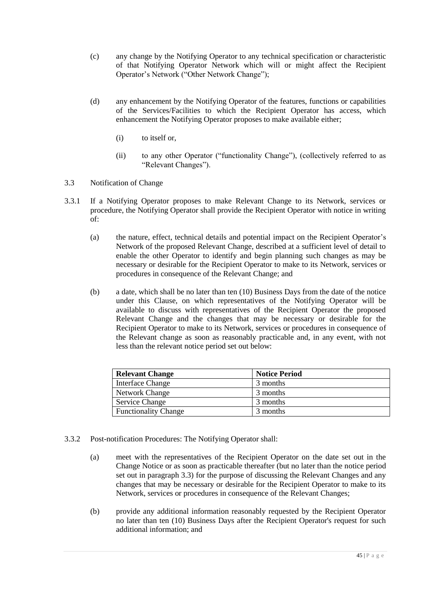- (c) any change by the Notifying Operator to any technical specification or characteristic of that Notifying Operator Network which will or might affect the Recipient Operator's Network ("Other Network Change");
- (d) any enhancement by the Notifying Operator of the features, functions or capabilities of the Services/Facilities to which the Recipient Operator has access, which enhancement the Notifying Operator proposes to make available either;
	- (i) to itself or,
	- (ii) to any other Operator ("functionality Change"), (collectively referred to as "Relevant Changes").
- 3.3 Notification of Change
- 3.3.1 If a Notifying Operator proposes to make Relevant Change to its Network, services or procedure, the Notifying Operator shall provide the Recipient Operator with notice in writing of:
	- (a) the nature, effect, technical details and potential impact on the Recipient Operator's Network of the proposed Relevant Change, described at a sufficient level of detail to enable the other Operator to identify and begin planning such changes as may be necessary or desirable for the Recipient Operator to make to its Network, services or procedures in consequence of the Relevant Change; and
	- (b) a date, which shall be no later than ten (10) Business Days from the date of the notice under this Clause, on which representatives of the Notifying Operator will be available to discuss with representatives of the Recipient Operator the proposed Relevant Change and the changes that may be necessary or desirable for the Recipient Operator to make to its Network, services or procedures in consequence of the Relevant change as soon as reasonably practicable and, in any event, with not less than the relevant notice period set out below:

| <b>Relevant Change</b>      | <b>Notice Period</b> |
|-----------------------------|----------------------|
| Interface Change            | 3 months             |
| Network Change              | 3 months             |
| <b>Service Change</b>       | 3 months             |
| <b>Functionality Change</b> | 3 months             |

- 3.3.2 Post-notification Procedures: The Notifying Operator shall:
	- (a) meet with the representatives of the Recipient Operator on the date set out in the Change Notice or as soon as practicable thereafter (but no later than the notice period set out in paragraph 3.3) for the purpose of discussing the Relevant Changes and any changes that may be necessary or desirable for the Recipient Operator to make to its Network, services or procedures in consequence of the Relevant Changes;
	- (b) provide any additional information reasonably requested by the Recipient Operator no later than ten (10) Business Days after the Recipient Operator's request for such additional information; and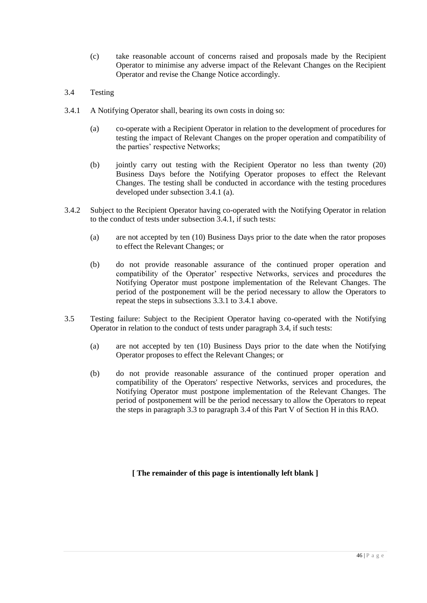- (c) take reasonable account of concerns raised and proposals made by the Recipient Operator to minimise any adverse impact of the Relevant Changes on the Recipient Operator and revise the Change Notice accordingly.
- 3.4 Testing
- 3.4.1 A Notifying Operator shall, bearing its own costs in doing so:
	- (a) co-operate with a Recipient Operator in relation to the development of procedures for testing the impact of Relevant Changes on the proper operation and compatibility of the parties' respective Networks;
	- (b) jointly carry out testing with the Recipient Operator no less than twenty (20) Business Days before the Notifying Operator proposes to effect the Relevant Changes. The testing shall be conducted in accordance with the testing procedures developed under subsection 3.4.1 (a).
- 3.4.2 Subject to the Recipient Operator having co-operated with the Notifying Operator in relation to the conduct of tests under subsection 3.4.1, if such tests:
	- (a) are not accepted by ten (10) Business Days prior to the date when the rator proposes to effect the Relevant Changes; or
	- (b) do not provide reasonable assurance of the continued proper operation and compatibility of the Operator' respective Networks, services and procedures the Notifying Operator must postpone implementation of the Relevant Changes. The period of the postponement will be the period necessary to allow the Operators to repeat the steps in subsections 3.3.1 to 3.4.1 above.
- 3.5 Testing failure: Subject to the Recipient Operator having co-operated with the Notifying Operator in relation to the conduct of tests under paragraph 3.4, if such tests:
	- (a) are not accepted by ten (10) Business Days prior to the date when the Notifying Operator proposes to effect the Relevant Changes; or
	- (b) do not provide reasonable assurance of the continued proper operation and compatibility of the Operators' respective Networks, services and procedures, the Notifying Operator must postpone implementation of the Relevant Changes. The period of postponement will be the period necessary to allow the Operators to repeat the steps in paragraph 3.3 to paragraph 3.4 of this Part V of Section H in this RAO.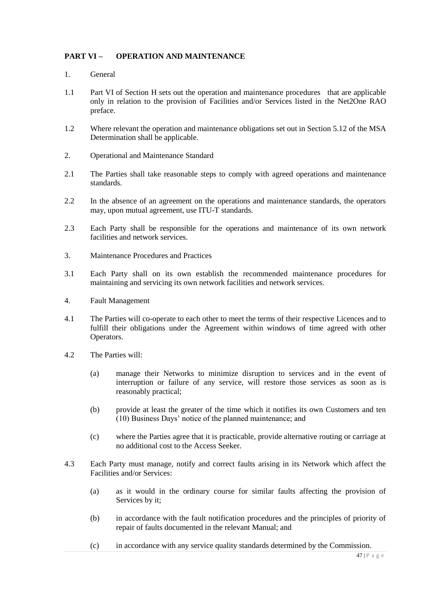## **PART VI – OPERATION AND MAINTENANCE**

- 1. General
- 1.1 Part VI of Section H sets out the operation and maintenance procedures that are applicable only in relation to the provision of Facilities and/or Services listed in the Net2One RAO preface.
- 1.2 Where relevant the operation and maintenance obligations set out in Section 5.12 of the MSA Determination shall be applicable.
- 2. Operational and Maintenance Standard
- 2.1 The Parties shall take reasonable steps to comply with agreed operations and maintenance standards.
- 2.2 In the absence of an agreement on the operations and maintenance standards, the operators may, upon mutual agreement, use ITU-T standards.
- 2.3 Each Party shall be responsible for the operations and maintenance of its own network facilities and network services.
- 3. Maintenance Procedures and Practices
- 3.1 Each Party shall on its own establish the recommended maintenance procedures for maintaining and servicing its own network facilities and network services.
- 4. Fault Management
- 4.1 The Parties will co-operate to each other to meet the terms of their respective Licences and to fulfill their obligations under the Agreement within windows of time agreed with other Operators.
- 4.2 The Parties will:
	- (a) manage their Networks to minimize disruption to services and in the event of interruption or failure of any service, will restore those services as soon as is reasonably practical;
	- (b) provide at least the greater of the time which it notifies its own Customers and ten (10) Business Days' notice of the planned maintenance; and
	- (c) where the Parties agree that it is practicable, provide alternative routing or carriage at no additional cost to the Access Seeker.
- 4.3 Each Party must manage, notify and correct faults arising in its Network which affect the Facilities and/or Services:
	- (a) as it would in the ordinary course for similar faults affecting the provision of Services by it;
	- (b) in accordance with the fault notification procedures and the principles of priority of repair of faults documented in the relevant Manual; and
	- (c) in accordance with any service quality standards determined by the Commission.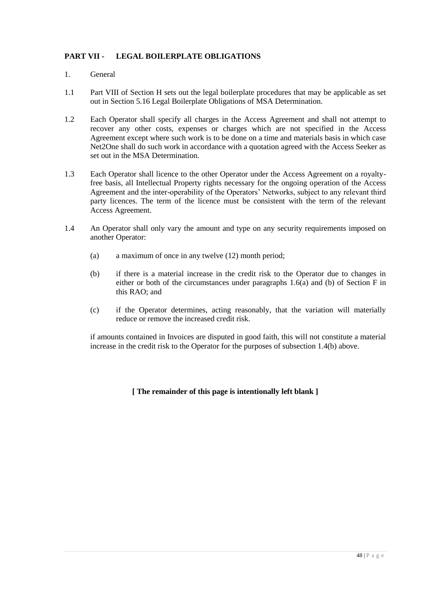# **PART VII - LEGAL BOILERPLATE OBLIGATIONS**

- 1. General
- 1.1 Part VIII of Section H sets out the legal boilerplate procedures that may be applicable as set out in Section 5.16 Legal Boilerplate Obligations of MSA Determination.
- 1.2 Each Operator shall specify all charges in the Access Agreement and shall not attempt to recover any other costs, expenses or charges which are not specified in the Access Agreement except where such work is to be done on a time and materials basis in which case Net2One shall do such work in accordance with a quotation agreed with the Access Seeker as set out in the MSA Determination.
- 1.3 Each Operator shall licence to the other Operator under the Access Agreement on a royaltyfree basis, all Intellectual Property rights necessary for the ongoing operation of the Access Agreement and the inter-operability of the Operators' Networks, subject to any relevant third party licences. The term of the licence must be consistent with the term of the relevant Access Agreement.
- 1.4 An Operator shall only vary the amount and type on any security requirements imposed on another Operator:
	- (a) a maximum of once in any twelve (12) month period;
	- (b) if there is a material increase in the credit risk to the Operator due to changes in either or both of the circumstances under paragraphs 1.6(a) and (b) of Section F in this RAO; and
	- (c) if the Operator determines, acting reasonably, that the variation will materially reduce or remove the increased credit risk.

if amounts contained in Invoices are disputed in good faith, this will not constitute a material increase in the credit risk to the Operator for the purposes of subsection 1.4(b) above.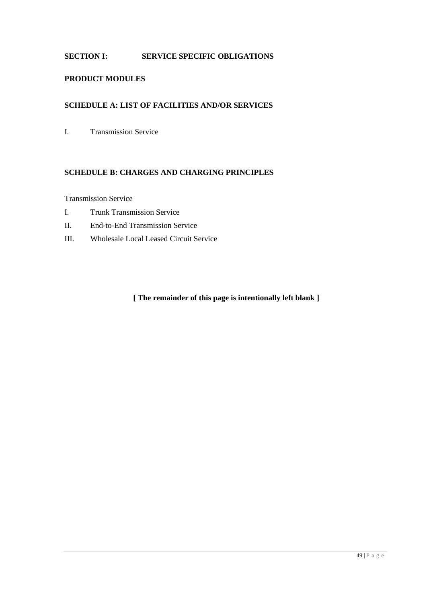# **SECTION I: SERVICE SPECIFIC OBLIGATIONS**

## **PRODUCT MODULES**

#### **SCHEDULE A: LIST OF FACILITIES AND/OR SERVICES**

I. Transmission Service

## **SCHEDULE B: CHARGES AND CHARGING PRINCIPLES**

Transmission Service

- I. Trunk Transmission Service
- II. End-to-End Transmission Service
- III. Wholesale Local Leased Circuit Service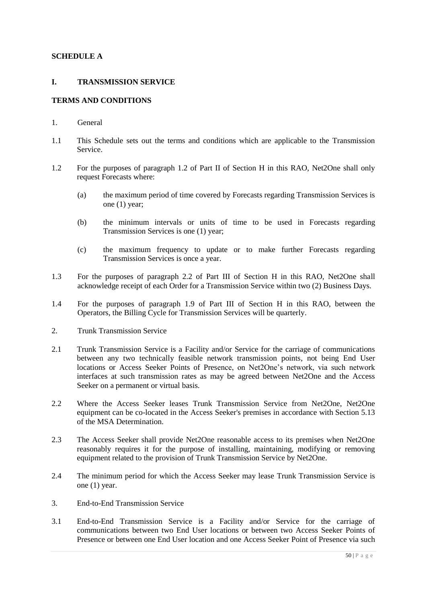### **SCHEDULE A**

## **I. TRANSMISSION SERVICE**

## **TERMS AND CONDITIONS**

- 1. General
- 1.1 This Schedule sets out the terms and conditions which are applicable to the Transmission Service.
- 1.2 For the purposes of paragraph 1.2 of Part II of Section H in this RAO, Net2One shall only request Forecasts where:
	- (a) the maximum period of time covered by Forecasts regarding Transmission Services is one (1) year;
	- (b) the minimum intervals or units of time to be used in Forecasts regarding Transmission Services is one (1) year;
	- (c) the maximum frequency to update or to make further Forecasts regarding Transmission Services is once a year.
- 1.3 For the purposes of paragraph 2.2 of Part III of Section H in this RAO, Net2One shall acknowledge receipt of each Order for a Transmission Service within two (2) Business Days.
- 1.4 For the purposes of paragraph 1.9 of Part III of Section H in this RAO, between the Operators, the Billing Cycle for Transmission Services will be quarterly.
- 2. Trunk Transmission Service
- 2.1 Trunk Transmission Service is a Facility and/or Service for the carriage of communications between any two technically feasible network transmission points, not being End User locations or Access Seeker Points of Presence, on Net2One's network, via such network interfaces at such transmission rates as may be agreed between Net2One and the Access Seeker on a permanent or virtual basis.
- 2.2 Where the Access Seeker leases Trunk Transmission Service from Net2One, Net2One equipment can be co-located in the Access Seeker's premises in accordance with Section 5.13 of the MSA Determination.
- 2.3 The Access Seeker shall provide Net2One reasonable access to its premises when Net2One reasonably requires it for the purpose of installing, maintaining, modifying or removing equipment related to the provision of Trunk Transmission Service by Net2One.
- 2.4 The minimum period for which the Access Seeker may lease Trunk Transmission Service is one (1) year.
- 3. End-to-End Transmission Service
- 3.1 End-to-End Transmission Service is a Facility and/or Service for the carriage of communications between two End User locations or between two Access Seeker Points of Presence or between one End User location and one Access Seeker Point of Presence via such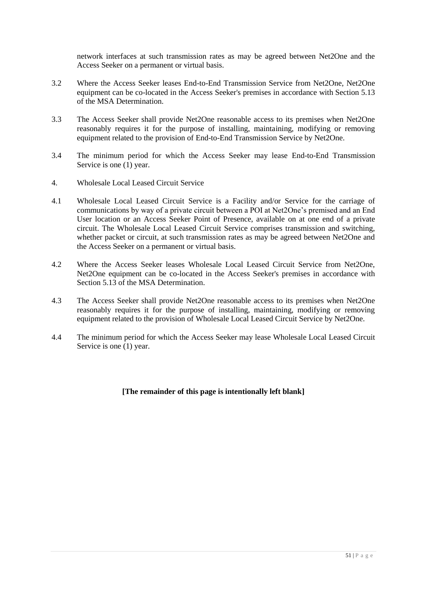network interfaces at such transmission rates as may be agreed between Net2One and the Access Seeker on a permanent or virtual basis.

- 3.2 Where the Access Seeker leases End-to-End Transmission Service from Net2One, Net2One equipment can be co-located in the Access Seeker's premises in accordance with Section 5.13 of the MSA Determination.
- 3.3 The Access Seeker shall provide Net2One reasonable access to its premises when Net2One reasonably requires it for the purpose of installing, maintaining, modifying or removing equipment related to the provision of End-to-End Transmission Service by Net2One.
- 3.4 The minimum period for which the Access Seeker may lease End-to-End Transmission Service is one (1) year.
- 4. Wholesale Local Leased Circuit Service
- 4.1 Wholesale Local Leased Circuit Service is a Facility and/or Service for the carriage of communications by way of a private circuit between a POI at Net2One's premised and an End User location or an Access Seeker Point of Presence, available on at one end of a private circuit. The Wholesale Local Leased Circuit Service comprises transmission and switching, whether packet or circuit, at such transmission rates as may be agreed between Net2One and the Access Seeker on a permanent or virtual basis.
- 4.2 Where the Access Seeker leases Wholesale Local Leased Circuit Service from Net2One, Net2One equipment can be co-located in the Access Seeker's premises in accordance with Section 5.13 of the MSA Determination.
- 4.3 The Access Seeker shall provide Net2One reasonable access to its premises when Net2One reasonably requires it for the purpose of installing, maintaining, modifying or removing equipment related to the provision of Wholesale Local Leased Circuit Service by Net2One.
- 4.4 The minimum period for which the Access Seeker may lease Wholesale Local Leased Circuit Service is one (1) year.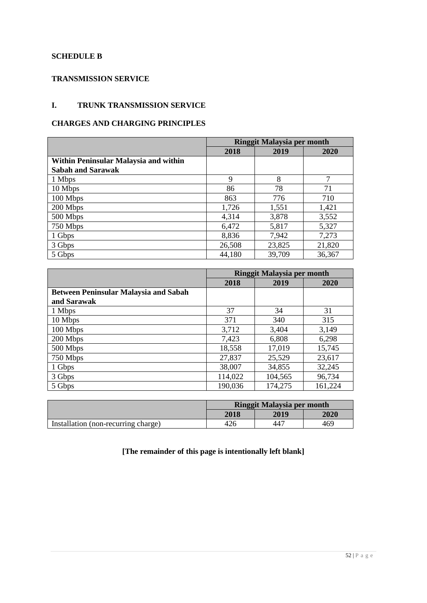## **SCHEDULE B**

# **TRANSMISSION SERVICE**

# **I. TRUNK TRANSMISSION SERVICE**

# **CHARGES AND CHARGING PRINCIPLES**

|                                       | <b>Ringgit Malaysia per month</b> |        |        |
|---------------------------------------|-----------------------------------|--------|--------|
|                                       | 2018                              | 2019   | 2020   |
| Within Peninsular Malaysia and within |                                   |        |        |
| <b>Sabah and Sarawak</b>              |                                   |        |        |
| 1 Mbps                                | 9                                 | 8      | 7      |
| 10 Mbps                               | 86                                | 78     | 71     |
| 100 Mbps                              | 863                               | 776    | 710    |
| 200 Mbps                              | 1,726                             | 1,551  | 1,421  |
| 500 Mbps                              | 4,314                             | 3,878  | 3,552  |
| 750 Mbps                              | 6,472                             | 5,817  | 5,327  |
| 1 Gbps                                | 8,836                             | 7,942  | 7,273  |
| 3 Gbps                                | 26,508                            | 23,825 | 21,820 |
| 5 Gbps                                | 44,180                            | 39,709 | 36,367 |

|                                              | Ringgit Malaysia per month |         |         |
|----------------------------------------------|----------------------------|---------|---------|
|                                              | 2018                       | 2019    | 2020    |
| <b>Between Peninsular Malaysia and Sabah</b> |                            |         |         |
| and Sarawak                                  |                            |         |         |
| 1 Mbps                                       | 37                         | 34      | 31      |
| 10 Mbps                                      | 371                        | 340     | 315     |
| 100 Mbps                                     | 3,712                      | 3,404   | 3,149   |
| 200 Mbps                                     | 7,423                      | 6,808   | 6,298   |
| 500 Mbps                                     | 18,558                     | 17,019  | 15,745  |
| 750 Mbps                                     | 27,837                     | 25,529  | 23,617  |
| 1 Gbps                                       | 38,007                     | 34,855  | 32,245  |
| 3 Gbps                                       | 114,022                    | 104,565 | 96,734  |
| 5 Gbps                                       | 190,036                    | 174,275 | 161,224 |

|                                     | Ringgit Malaysia per month |      |      |
|-------------------------------------|----------------------------|------|------|
|                                     | 2018                       | 2019 | 2020 |
| Installation (non-recurring charge) | 426                        | 447  | 469  |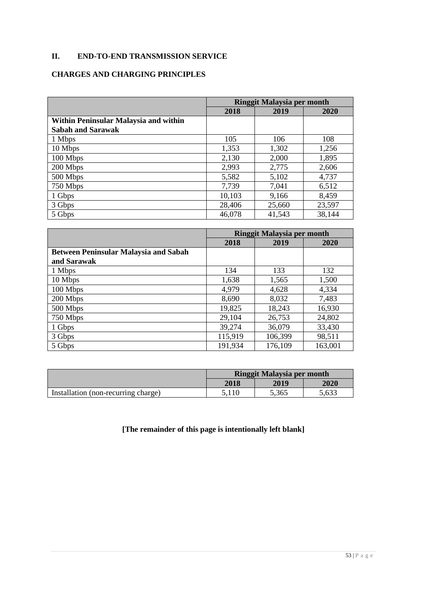# **II. END-TO-END TRANSMISSION SERVICE**

# **CHARGES AND CHARGING PRINCIPLES**

|                                       | <b>Ringgit Malaysia per month</b> |        |        |
|---------------------------------------|-----------------------------------|--------|--------|
|                                       | 2018                              | 2019   | 2020   |
| Within Peninsular Malaysia and within |                                   |        |        |
| <b>Sabah and Sarawak</b>              |                                   |        |        |
| 1 Mbps                                | 105                               | 106    | 108    |
| 10 Mbps                               | 1,353                             | 1,302  | 1,256  |
| 100 Mbps                              | 2,130                             | 2,000  | 1,895  |
| 200 Mbps                              | 2,993                             | 2,775  | 2,606  |
| 500 Mbps                              | 5,582                             | 5,102  | 4,737  |
| 750 Mbps                              | 7,739                             | 7,041  | 6,512  |
| 1 Gbps                                | 10,103                            | 9,166  | 8,459  |
| 3 Gbps                                | 28,406                            | 25,660 | 23,597 |
| 5 Gbps                                | 46,078                            | 41,543 | 38,144 |

|                                              | <b>Ringgit Malaysia per month</b> |         |         |
|----------------------------------------------|-----------------------------------|---------|---------|
|                                              | 2018                              | 2019    | 2020    |
| <b>Between Peninsular Malaysia and Sabah</b> |                                   |         |         |
| and Sarawak                                  |                                   |         |         |
| 1 Mbps                                       | 134                               | 133     | 132     |
| 10 Mbps                                      | 1,638                             | 1,565   | 1,500   |
| 100 Mbps                                     | 4,979                             | 4,628   | 4,334   |
| 200 Mbps                                     | 8,690                             | 8,032   | 7,483   |
| 500 Mbps                                     | 19,825                            | 18,243  | 16,930  |
| 750 Mbps                                     | 29,104                            | 26,753  | 24,802  |
| 1 Gbps                                       | 39,274                            | 36,079  | 33,430  |
| 3 Gbps                                       | 115,919                           | 106,399 | 98,511  |
| 5 Gbps                                       | 191,934                           | 176,109 | 163,001 |

|                                     | Ringgit Malaysia per month |       |       |
|-------------------------------------|----------------------------|-------|-------|
|                                     | 2018                       | 2019  | 2020  |
| Installation (non-recurring charge) |                            | 5,365 | 5.633 |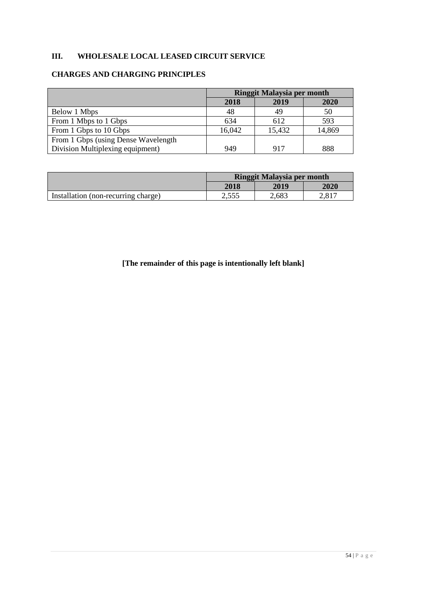# **III. WHOLESALE LOCAL LEASED CIRCUIT SERVICE**

# **CHARGES AND CHARGING PRINCIPLES**

|                                     | Ringgit Malaysia per month |        |        |
|-------------------------------------|----------------------------|--------|--------|
|                                     | 2018                       | 2019   | 2020   |
| Below 1 Mbps                        | 48                         | 49     | 50     |
| From 1 Mbps to 1 Gbps               | 634                        | 612    | 593    |
| From 1 Gbps to 10 Gbps              | 16,042                     | 15,432 | 14,869 |
| From 1 Gbps (using Dense Wavelength |                            |        |        |
| Division Multiplexing equipment)    | 949                        | 917    | 888    |

|                                     | <b>Ringgit Malaysia per month</b> |       |         |
|-------------------------------------|-----------------------------------|-------|---------|
|                                     | <b>2018</b>                       | 2019  | 2020    |
| Installation (non-recurring charge) | ر ر ر.ر                           | 2,683 | 1 0 1 ה |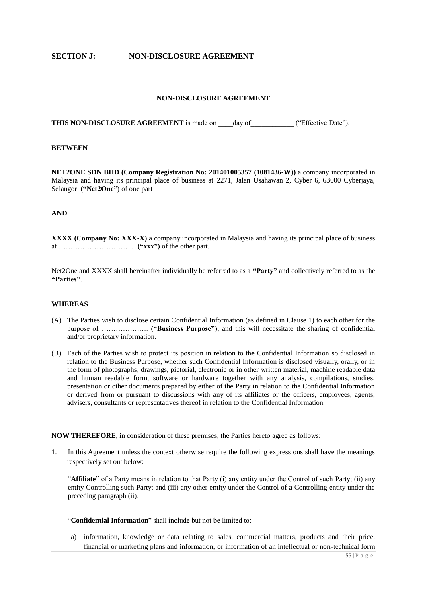#### **SECTION J: NON-DISCLOSURE AGREEMENT**

#### **NON-DISCLOSURE AGREEMENT**

**THIS NON-DISCLOSURE AGREEMENT** is made on \_\_\_\_day of ("Effective Date").

#### **BETWEEN**

**NET2ONE SDN BHD (Company Registration No: 201401005357 (1081436-W))** a company incorporated in Malaysia and having its principal place of business at 2271, Jalan Usahawan 2, Cyber 6, 63000 Cyberjaya, Selangor **("Net2One")** of one part

#### **AND**

**XXXX (Company No: XXX-X)** a company incorporated in Malaysia and having its principal place of business at ………………………….. **("xxx")** of the other part.

Net2One and XXXX shall hereinafter individually be referred to as a **"Party"** and collectively referred to as the **"Parties"**.

#### **WHEREAS**

- (A) The Parties wish to disclose certain Confidential Information (as defined in Clause 1) to each other for the purpose of …………….…. **("Business Purpose")**, and this will necessitate the sharing of confidential and/or proprietary information.
- (B) Each of the Parties wish to protect its position in relation to the Confidential Information so disclosed in relation to the Business Purpose, whether such Confidential Information is disclosed visually, orally, or in the form of photographs, drawings, pictorial, electronic or in other written material, machine readable data and human readable form, software or hardware together with any analysis, compilations, studies, presentation or other documents prepared by either of the Party in relation to the Confidential Information or derived from or pursuant to discussions with any of its affiliates or the officers, employees, agents, advisers, consultants or representatives thereof in relation to the Confidential Information.

**NOW THEREFORE**, in consideration of these premises, the Parties hereto agree as follows:

1. In this Agreement unless the context otherwise require the following expressions shall have the meanings respectively set out below:

"**Affiliate**" of a Party means in relation to that Party (i) any entity under the Control of such Party; (ii) any entity Controlling such Party; and (iii) any other entity under the Control of a Controlling entity under the preceding paragraph (ii).

"**Confidential Information**" shall include but not be limited to:

a) information, knowledge or data relating to sales, commercial matters, products and their price, financial or marketing plans and information, or information of an intellectual or non-technical form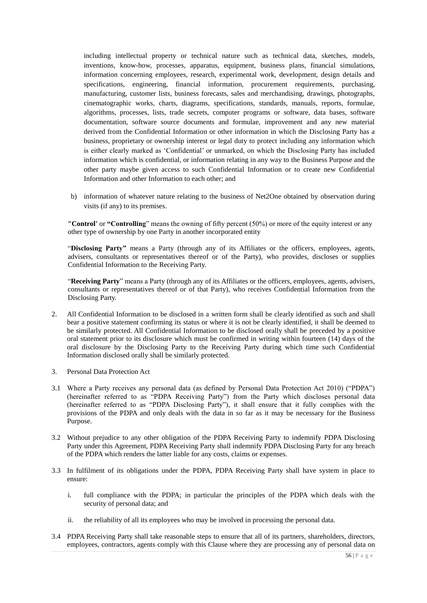including intellectual property or technical nature such as technical data, sketches, models, inventions, know-how, processes, apparatus, equipment, business plans, financial simulations, information concerning employees, research, experimental work, development, design details and specifications, engineering, financial information, procurement requirements, purchasing, manufacturing, customer lists, business forecasts, sales and merchandising, drawings, photographs, cinematographic works, charts, diagrams, specifications, standards, manuals, reports, formulae, algorithms, processes, lists, trade secrets, computer programs or software, data bases, software documentation, software source documents and formulae, improvement and any new material derived from the Confidential Information or other information in which the Disclosing Party has a business, proprietary or ownership interest or legal duty to protect including any information which is either clearly marked as 'Confidential' or unmarked, on which the Disclosing Party has included information which is confidential, or information relating in any way to the Business Purpose and the other party maybe given access to such Confidential Information or to create new Confidential Information and other Information to each other; and

b) information of whatever nature relating to the business of Net2One obtained by observation during visits (if any) to its premises.

**"Control'** or **"Controlling**" means the owning of fifty percent (50%) or more of the equity interest or any other type of ownership by one Party in another incorporated entity

"**Disclosing Party"** means a Party (through any of its Affiliates or the officers, employees, agents, advisers, consultants or representatives thereof or of the Party), who provides, discloses or supplies Confidential Information to the Receiving Party.

"**Receiving Party**" means a Party (through any of its Affiliates or the officers, employees, agents, advisers, consultants or representatives thereof or of that Party), who receives Confidential Information from the Disclosing Party.

- 2. All Confidential Information to be disclosed in a written form shall be clearly identified as such and shall bear a positive statement confirming its status or where it is not be clearly identified, it shall be deemed to be similarly protected. All Confidential Information to be disclosed orally shall be preceded by a positive oral statement prior to its disclosure which must be confirmed in writing within fourteen (14) days of the oral disclosure by the Disclosing Party to the Receiving Party during which time such Confidential Information disclosed orally shall be similarly protected.
- 3. Personal Data Protection Act
- 3.1 Where a Party receives any personal data (as defined by Personal Data Protection Act 2010) ("PDPA") (hereinafter referred to as "PDPA Receiving Party") from the Party which discloses personal data (hereinafter referred to as "PDPA Disclosing Party"), it shall ensure that it fully complies with the provisions of the PDPA and only deals with the data in so far as it may be necessary for the Business Purpose.
- 3.2 Without prejudice to any other obligation of the PDPA Receiving Party to indemnify PDPA Disclosing Party under this Agreement, PDPA Receiving Party shall indemnify PDPA Disclosing Party for any breach of the PDPA which renders the latter liable for any costs, claims or expenses.
- 3.3 In fulfilment of its obligations under the PDPA, PDPA Receiving Party shall have system in place to ensure:
	- i. full compliance with the PDPA; in particular the principles of the PDPA which deals with the security of personal data; and
	- ii. the reliability of all its employees who may be involved in processing the personal data.
- 3.4 PDPA Receiving Party shall take reasonable steps to ensure that all of its partners, shareholders, directors, employees, contractors, agents comply with this Clause where they are processing any of personal data on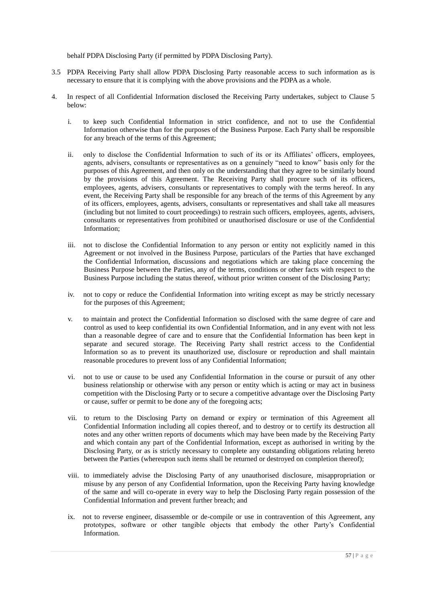behalf PDPA Disclosing Party (if permitted by PDPA Disclosing Party).

- 3.5 PDPA Receiving Party shall allow PDPA Disclosing Party reasonable access to such information as is necessary to ensure that it is complying with the above provisions and the PDPA as a whole.
- 4. In respect of all Confidential Information disclosed the Receiving Party undertakes, subject to Clause 5 below:
	- i. to keep such Confidential Information in strict confidence, and not to use the Confidential Information otherwise than for the purposes of the Business Purpose. Each Party shall be responsible for any breach of the terms of this Agreement;
	- ii. only to disclose the Confidential Information to such of its or its Affiliates' officers, employees, agents, advisers, consultants or representatives as on a genuinely "need to know" basis only for the purposes of this Agreement, and then only on the understanding that they agree to be similarly bound by the provisions of this Agreement. The Receiving Party shall procure such of its officers, employees, agents, advisers, consultants or representatives to comply with the terms hereof. In any event, the Receiving Party shall be responsible for any breach of the terms of this Agreement by any of its officers, employees, agents, advisers, consultants or representatives and shall take all measures (including but not limited to court proceedings) to restrain such officers, employees, agents, advisers, consultants or representatives from prohibited or unauthorised disclosure or use of the Confidential Information;
	- iii. not to disclose the Confidential Information to any person or entity not explicitly named in this Agreement or not involved in the Business Purpose, particulars of the Parties that have exchanged the Confidential Information, discussions and negotiations which are taking place concerning the Business Purpose between the Parties, any of the terms, conditions or other facts with respect to the Business Purpose including the status thereof, without prior written consent of the Disclosing Party;
	- iv. not to copy or reduce the Confidential Information into writing except as may be strictly necessary for the purposes of this Agreement;
	- v. to maintain and protect the Confidential Information so disclosed with the same degree of care and control as used to keep confidential its own Confidential Information, and in any event with not less than a reasonable degree of care and to ensure that the Confidential Information has been kept in separate and secured storage. The Receiving Party shall restrict access to the Confidential Information so as to prevent its unauthorized use, disclosure or reproduction and shall maintain reasonable procedures to prevent loss of any Confidential Information;
	- vi. not to use or cause to be used any Confidential Information in the course or pursuit of any other business relationship or otherwise with any person or entity which is acting or may act in business competition with the Disclosing Party or to secure a competitive advantage over the Disclosing Party or cause, suffer or permit to be done any of the foregoing acts;
	- vii. to return to the Disclosing Party on demand or expiry or termination of this Agreement all Confidential Information including all copies thereof, and to destroy or to certify its destruction all notes and any other written reports of documents which may have been made by the Receiving Party and which contain any part of the Confidential Information, except as authorised in writing by the Disclosing Party, or as is strictly necessary to complete any outstanding obligations relating hereto between the Parties (whereupon such items shall be returned or destroyed on completion thereof);
	- viii. to immediately advise the Disclosing Party of any unauthorised disclosure, misappropriation or misuse by any person of any Confidential Information, upon the Receiving Party having knowledge of the same and will co-operate in every way to help the Disclosing Party regain possession of the Confidential Information and prevent further breach; and
	- ix. not to reverse engineer, disassemble or de-compile or use in contravention of this Agreement, any prototypes, software or other tangible objects that embody the other Party's Confidential Information.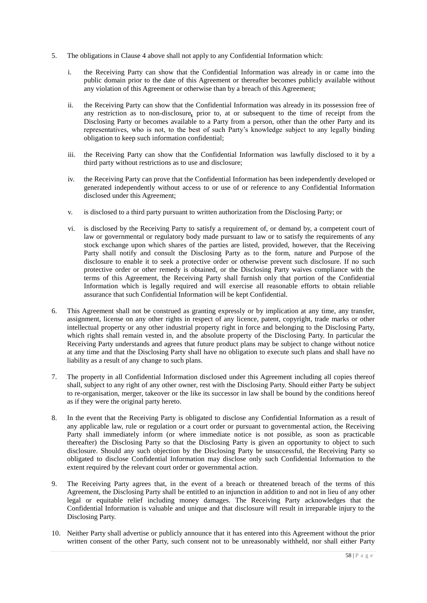- 5. The obligations in Clause 4 above shall not apply to any Confidential Information which:
	- i. the Receiving Party can show that the Confidential Information was already in or came into the public domain prior to the date of this Agreement or thereafter becomes publicly available without any violation of this Agreement or otherwise than by a breach of this Agreement;
	- ii. the Receiving Party can show that the Confidential Information was already in its possession free of any restriction as to non-disclosure*,* prior to, at or subsequent to the time of receipt from the Disclosing Party or becomes available to a Party from a person, other than the other Party and its representatives, who is not, to the best of such Party's knowledge subject to any legally binding obligation to keep such information confidential;
	- iii. the Receiving Party can show that the Confidential Information was lawfully disclosed to it by a third party without restrictions as to use and disclosure;
	- iv. the Receiving Party can prove that the Confidential Information has been independently developed or generated independently without access to or use of or reference to any Confidential Information disclosed under this Agreement;
	- v. is disclosed to a third party pursuant to written authorization from the Disclosing Party; or
	- vi. is disclosed by the Receiving Party to satisfy a requirement of, or demand by, a competent court of law or governmental or regulatory body made pursuant to law or to satisfy the requirements of any stock exchange upon which shares of the parties are listed, provided, however, that the Receiving Party shall notify and consult the Disclosing Party as to the form, nature and Purpose of the disclosure to enable it to seek a protective order or otherwise prevent such disclosure. If no such protective order or other remedy is obtained, or the Disclosing Party waives compliance with the terms of this Agreement, the Receiving Party shall furnish only that portion of the Confidential Information which is legally required and will exercise all reasonable efforts to obtain reliable assurance that such Confidential Information will be kept Confidential.
- 6. This Agreement shall not be construed as granting expressly or by implication at any time, any transfer, assignment, license on any other rights in respect of any licence, patent, copyright, trade marks or other intellectual property or any other industrial property right in force and belonging to the Disclosing Party, which rights shall remain vested in, and the absolute property of the Disclosing Party. In particular the Receiving Party understands and agrees that future product plans may be subject to change without notice at any time and that the Disclosing Party shall have no obligation to execute such plans and shall have no liability as a result of any change to such plans.
- 7. The property in all Confidential Information disclosed under this Agreement including all copies thereof shall, subject to any right of any other owner, rest with the Disclosing Party. Should either Party be subject to re-organisation, merger, takeover or the like its successor in law shall be bound by the conditions hereof as if they were the original party hereto.
- 8. In the event that the Receiving Party is obligated to disclose any Confidential Information as a result of any applicable law, rule or regulation or a court order or pursuant to governmental action, the Receiving Party shall immediately inform (or where immediate notice is not possible, as soon as practicable thereafter) the Disclosing Party so that the Disclosing Party is given an opportunity to object to such disclosure. Should any such objection by the Disclosing Party be unsuccessful, the Receiving Party so obligated to disclose Confidential Information may disclose only such Confidential Information to the extent required by the relevant court order or governmental action.
- 9. The Receiving Party agrees that, in the event of a breach or threatened breach of the terms of this Agreement, the Disclosing Party shall be entitled to an injunction in addition to and not in lieu of any other legal or equitable relief including money damages. The Receiving Party acknowledges that the Confidential Information is valuable and unique and that disclosure will result in irreparable injury to the Disclosing Party.
- 10. Neither Party shall advertise or publicly announce that it has entered into this Agreement without the prior written consent of the other Party, such consent not to be unreasonably withheld, nor shall either Party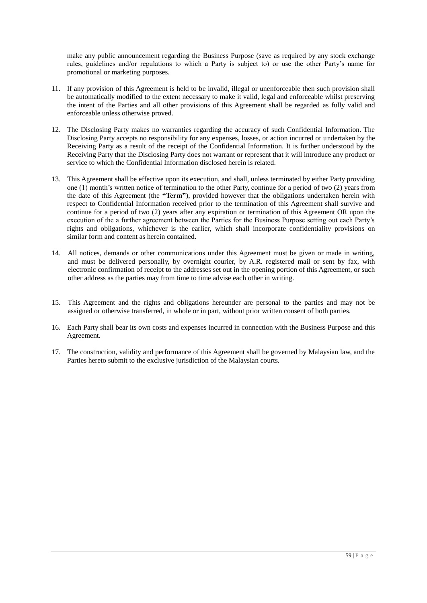make any public announcement regarding the Business Purpose (save as required by any stock exchange rules, guidelines and/or regulations to which a Party is subject to) or use the other Party's name for promotional or marketing purposes.

- 11. If any provision of this Agreement is held to be invalid, illegal or unenforceable then such provision shall be automatically modified to the extent necessary to make it valid, legal and enforceable whilst preserving the intent of the Parties and all other provisions of this Agreement shall be regarded as fully valid and enforceable unless otherwise proved.
- 12. The Disclosing Party makes no warranties regarding the accuracy of such Confidential Information. The Disclosing Party accepts no responsibility for any expenses, losses, or action incurred or undertaken by the Receiving Party as a result of the receipt of the Confidential Information. It is further understood by the Receiving Party that the Disclosing Party does not warrant or represent that it will introduce any product or service to which the Confidential Information disclosed herein is related.
- 13. This Agreement shall be effective upon its execution, and shall, unless terminated by either Party providing one (1) month's written notice of termination to the other Party, continue for a period of two (2) years from the date of this Agreement (the **"Term"**), provided however that the obligations undertaken herein with respect to Confidential Information received prior to the termination of this Agreement shall survive and continue for a period of two (2) years after any expiration or termination of this Agreement OR upon the execution of the a further agreement between the Parties for the Business Purpose setting out each Party's rights and obligations, whichever is the earlier, which shall incorporate confidentiality provisions on similar form and content as herein contained.
- 14. All notices, demands or other communications under this Agreement must be given or made in writing, and must be delivered personally, by overnight courier, by A.R. registered mail or sent by fax, with electronic confirmation of receipt to the addresses set out in the opening portion of this Agreement, or such other address as the parties may from time to time advise each other in writing.
- 15. This Agreement and the rights and obligations hereunder are personal to the parties and may not be assigned or otherwise transferred, in whole or in part, without prior written consent of both parties.
- 16. Each Party shall bear its own costs and expenses incurred in connection with the Business Purpose and this Agreement.
- 17. The construction, validity and performance of this Agreement shall be governed by Malaysian law, and the Parties hereto submit to the exclusive jurisdiction of the Malaysian courts.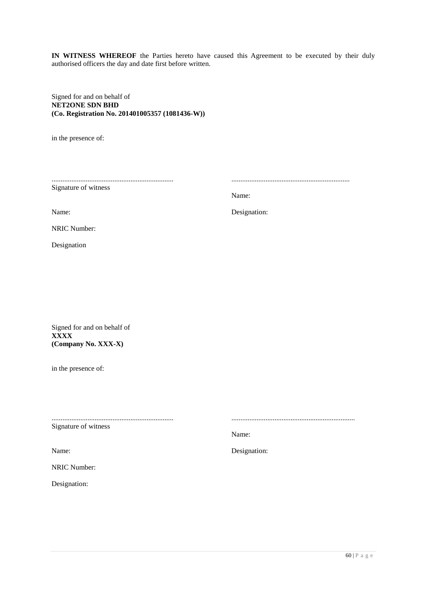**IN WITNESS WHEREOF** the Parties hereto have caused this Agreement to be executed by their duly authorised officers the day and date first before written.

Signed for and on behalf of **NET2ONE SDN BHD (Co. Registration No. 201401005357 (1081436-W))**

in the presence of:

.................................................................... Signature of witness

Name:

..................................................................

.....................................................................

Name:

Designation:

NRIC Number:

Designation

Signed for and on behalf of **XXXX (Company No. XXX-X)**

in the presence of:

....................................................................

Signature of witness

Name:

NRIC Number:

Designation:

Name:

Designation: